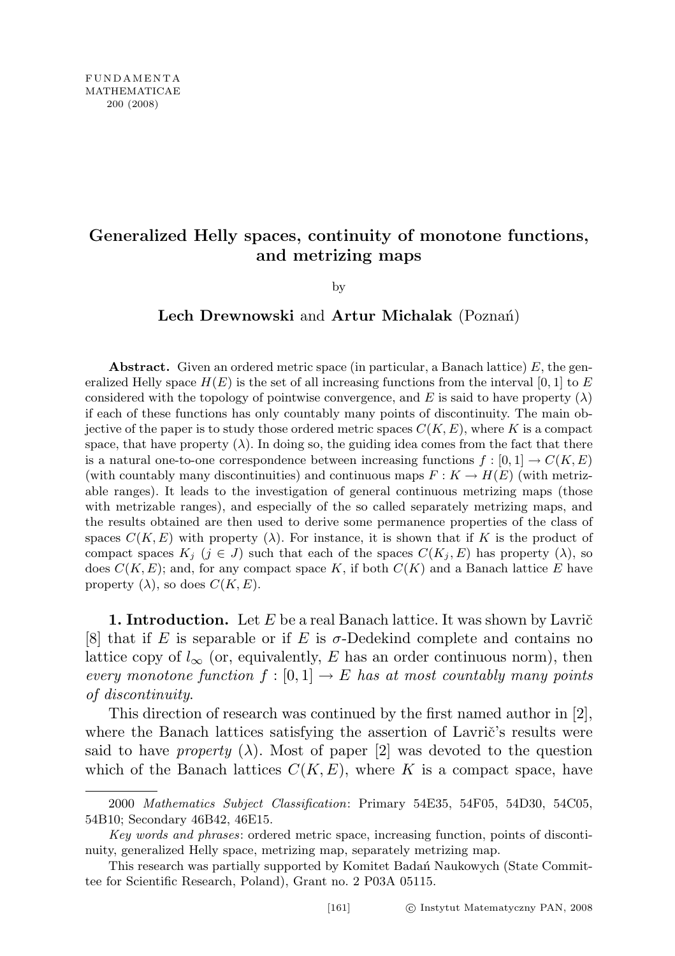## Generalized Helly spaces, continuity of monotone functions, and metrizing maps

by

## Lech Drewnowski and Artur Michalak (Poznań)

**Abstract.** Given an ordered metric space (in particular, a Banach lattice)  $E$ , the generalized Helly space  $H(E)$  is the set of all increasing functions from the interval [0, 1] to E considered with the topology of pointwise convergence, and E is said to have property  $(\lambda)$ if each of these functions has only countably many points of discontinuity. The main objective of the paper is to study those ordered metric spaces  $C(K, E)$ , where K is a compact space, that have property  $(\lambda)$ . In doing so, the guiding idea comes from the fact that there is a natural one-to-one correspondence between increasing functions  $f : [0, 1] \to C(K, E)$ (with countably many discontinuities) and continuous maps  $F: K \to H(E)$  (with metrizable ranges). It leads to the investigation of general continuous metrizing maps (those with metrizable ranges), and especially of the so called separately metrizing maps, and the results obtained are then used to derive some permanence properties of the class of spaces  $C(K, E)$  with property ( $\lambda$ ). For instance, it is shown that if K is the product of compact spaces  $K_j$  ( $j \in J$ ) such that each of the spaces  $C(K_j, E)$  has property ( $\lambda$ ), so does  $C(K, E)$ ; and, for any compact space K, if both  $C(K)$  and a Banach lattice E have property  $(\lambda)$ , so does  $C(K, E)$ .

**1. Introduction.** Let  $E$  be a real Banach lattice. It was shown by Lavrič [8] that if E is separable or if E is  $\sigma$ -Dedekind complete and contains no lattice copy of  $l_{\infty}$  (or, equivalently, E has an order continuous norm), then every monotone function  $f : [0,1] \to E$  has at most countably many points of discontinuity.

This direction of research was continued by the first named author in [2], where the Banach lattices satisfying the assertion of Lavrič's results were said to have *property*  $(\lambda)$ . Most of paper [2] was devoted to the question which of the Banach lattices  $C(K, E)$ , where K is a compact space, have

<sup>2000</sup> Mathematics Subject Classification: Primary 54E35, 54F05, 54D30, 54C05, 54B10; Secondary 46B42, 46E15.

Key words and phrases: ordered metric space, increasing function, points of discontinuity, generalized Helly space, metrizing map, separately metrizing map.

This research was partially supported by Komitet Badan Naukowych (State Committee for Scientific Research, Poland), Grant no. 2 P03A 05115.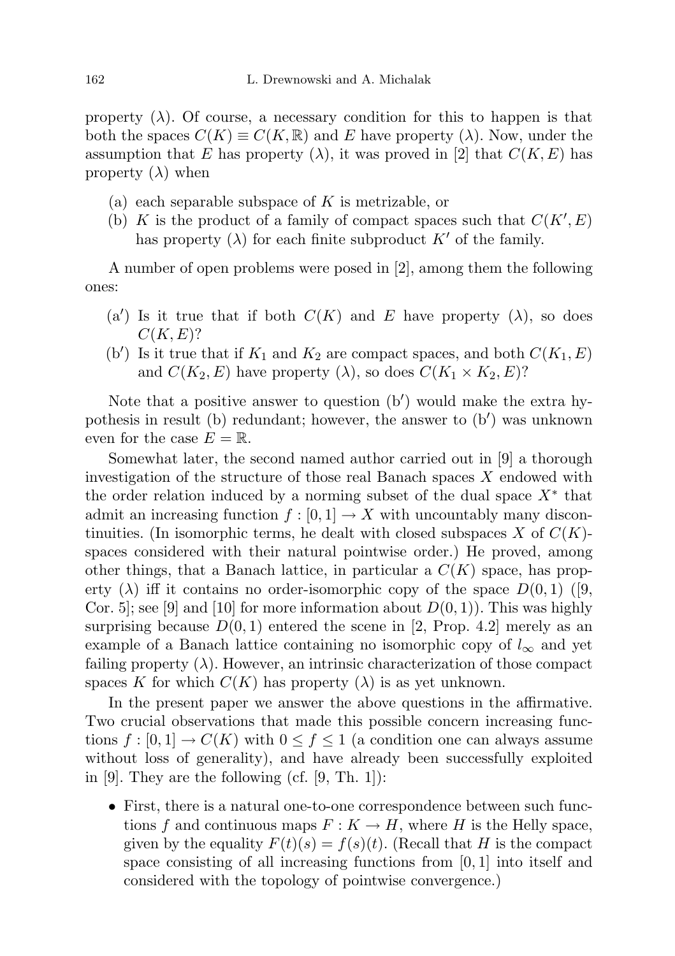property  $(\lambda)$ . Of course, a necessary condition for this to happen is that both the spaces  $C(K) \equiv C(K, \mathbb{R})$  and E have property  $(\lambda)$ . Now, under the assumption that E has property  $(\lambda)$ , it was proved in [2] that  $C(K, E)$  has property  $(\lambda)$  when

- (a) each separable subspace of  $K$  is metrizable, or
- (b) K is the product of a family of compact spaces such that  $C(K', E)$ has property  $(\lambda)$  for each finite subproduct K' of the family.

A number of open problems were posed in [2], among them the following ones:

- (a') Is it true that if both  $C(K)$  and E have property ( $\lambda$ ), so does  $C(K, E)$ ?
- (b') Is it true that if  $K_1$  and  $K_2$  are compact spaces, and both  $C(K_1, E)$ and  $C(K_2, E)$  have property  $(\lambda)$ , so does  $C(K_1 \times K_2, E)$ ?

Note that a positive answer to question  $(b')$  would make the extra hypothesis in result (b) redundant; however, the answer to  $(b')$  was unknown even for the case  $E = \mathbb{R}$ .

Somewhat later, the second named author carried out in [9] a thorough investigation of the structure of those real Banach spaces X endowed with the order relation induced by a norming subset of the dual space  $X^*$  that admit an increasing function  $f : [0, 1] \to X$  with uncountably many discontinuities. (In isomorphic terms, he dealt with closed subspaces X of  $C(K)$ spaces considered with their natural pointwise order.) He proved, among other things, that a Banach lattice, in particular a  $C(K)$  space, has property ( $\lambda$ ) iff it contains no order-isomorphic copy of the space  $D(0, 1)$  ([9, Cor. 5; see [9] and [10] for more information about  $D(0, 1)$ ). This was highly surprising because  $D(0, 1)$  entered the scene in [2, Prop. 4.2] merely as an example of a Banach lattice containing no isomorphic copy of  $l_{\infty}$  and yet failing property  $(\lambda)$ . However, an intrinsic characterization of those compact spaces K for which  $C(K)$  has property  $(\lambda)$  is as yet unknown.

In the present paper we answer the above questions in the affirmative. Two crucial observations that made this possible concern increasing functions  $f : [0,1] \to C(K)$  with  $0 \le f \le 1$  (a condition one can always assume without loss of generality), and have already been successfully exploited in  $[9]$ . They are the following  $(cf. [9, Th. 1])$ :

• First, there is a natural one-to-one correspondence between such functions f and continuous maps  $F: K \to H$ , where H is the Helly space, given by the equality  $F(t)(s) = f(s)(t)$ . (Recall that H is the compact space consisting of all increasing functions from  $[0, 1]$  into itself and considered with the topology of pointwise convergence.)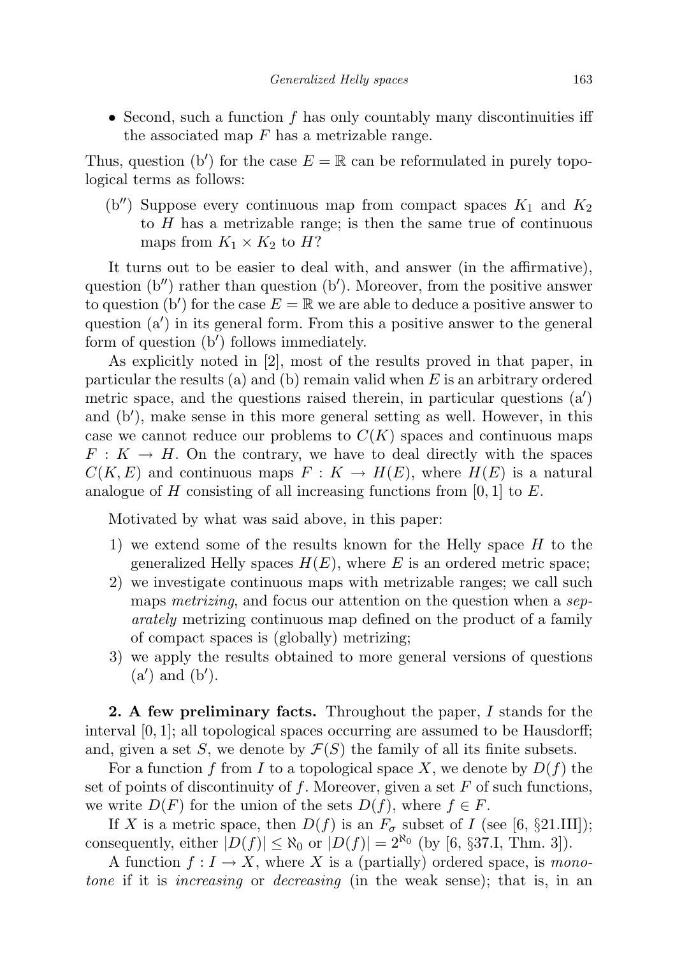• Second, such a function  $f$  has only countably many discontinuities iff the associated map  $F$  has a metrizable range.

Thus, question (b') for the case  $E = \mathbb{R}$  can be reformulated in purely topological terms as follows:

(b'') Suppose every continuous map from compact spaces  $K_1$  and  $K_2$ to  $H$  has a metrizable range; is then the same true of continuous maps from  $K_1 \times K_2$  to H?

It turns out to be easier to deal with, and answer (in the affirmative), question  $(b'')$  rather than question  $(b')$ . Moreover, from the positive answer to question (b') for the case  $E = \mathbb{R}$  we are able to deduce a positive answer to question  $(a')$  in its general form. From this a positive answer to the general form of question  $(b')$  follows immediately.

As explicitly noted in [2], most of the results proved in that paper, in particular the results (a) and (b) remain valid when  $E$  is an arbitrary ordered metric space, and the questions raised therein, in particular questions  $(a')$ and  $(b')$ , make sense in this more general setting as well. However, in this case we cannot reduce our problems to  $C(K)$  spaces and continuous maps  $F: K \to H$ . On the contrary, we have to deal directly with the spaces  $C(K, E)$  and continuous maps  $F: K \to H(E)$ , where  $H(E)$  is a natural analogue of H consisting of all increasing functions from  $[0, 1]$  to E.

Motivated by what was said above, in this paper:

- 1) we extend some of the results known for the Helly space H to the generalized Helly spaces  $H(E)$ , where E is an ordered metric space;
- 2) we investigate continuous maps with metrizable ranges; we call such maps *metrizing*, and focus our attention on the question when a *sep*arately metrizing continuous map defined on the product of a family of compact spaces is (globally) metrizing;
- 3) we apply the results obtained to more general versions of questions  $(a')$  and  $(b')$ .

2. A few preliminary facts. Throughout the paper, I stands for the interval  $[0, 1]$ ; all topological spaces occurring are assumed to be Hausdorff; and, given a set S, we denote by  $\mathcal{F}(S)$  the family of all its finite subsets.

For a function f from I to a topological space X, we denote by  $D(f)$  the set of points of discontinuity of  $f$ . Moreover, given a set  $F$  of such functions, we write  $D(F)$  for the union of the sets  $D(f)$ , where  $f \in F$ .

If X is a metric space, then  $D(f)$  is an  $F_{\sigma}$  subset of I (see [6, §21.III]); consequently, either  $|D(f)| \leq \aleph_0$  or  $|D(f)| = 2^{\aleph_0}$  (by [6, §37.I, Thm. 3]).

A function  $f: I \to X$ , where X is a (partially) ordered space, is monotone if it is increasing or decreasing (in the weak sense); that is, in an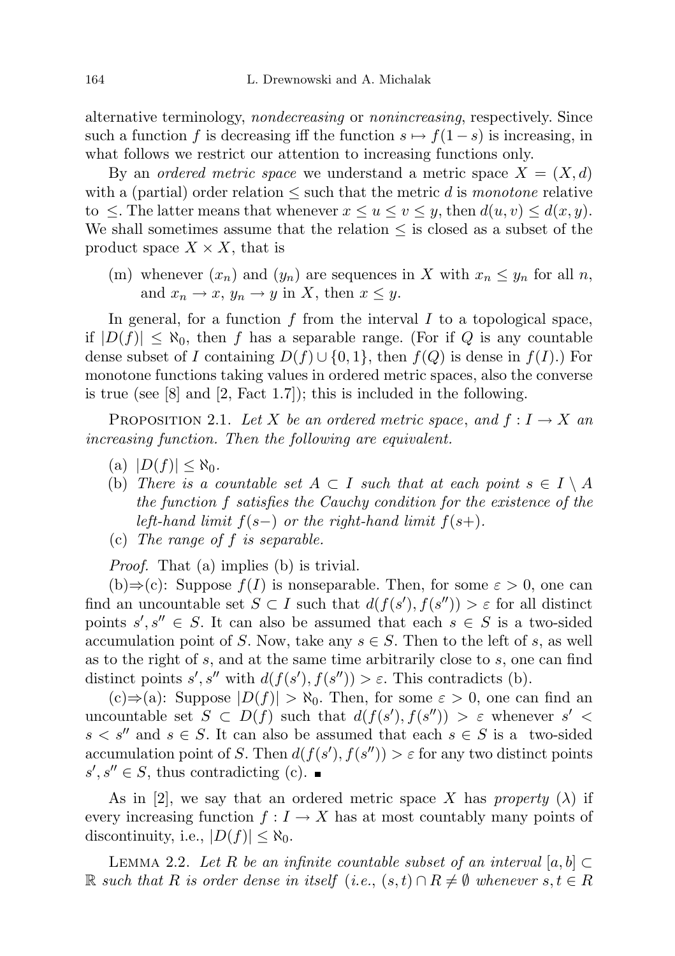alternative terminology, nondecreasing or nonincreasing, respectively. Since such a function f is decreasing iff the function  $s \mapsto f(1-s)$  is increasing, in what follows we restrict our attention to increasing functions only.

By an *ordered metric space* we understand a metric space  $X = (X, d)$ with a (partial) order relation  $\leq$  such that the metric d is monotone relative to  $\leq$ . The latter means that whenever  $x \leq u \leq v \leq y$ , then  $d(u, v) \leq d(x, y)$ . We shall sometimes assume that the relation  $\leq$  is closed as a subset of the product space  $X \times X$ , that is

(m) whenever  $(x_n)$  and  $(y_n)$  are sequences in X with  $x_n \leq y_n$  for all n, and  $x_n \to x$ ,  $y_n \to y$  in X, then  $x \leq y$ .

In general, for a function  $f$  from the interval  $I$  to a topological space, if  $|D(f)| \leq \aleph_0$ , then f has a separable range. (For if Q is any countable dense subset of I containing  $D(f) \cup \{0,1\}$ , then  $f(Q)$  is dense in  $f(I)$ .) For monotone functions taking values in ordered metric spaces, also the converse is true (see [8] and [2, Fact 1.7]); this is included in the following.

PROPOSITION 2.1. Let X be an ordered metric space, and  $f: I \to X$  an increasing function. Then the following are equivalent.

- $(a)$   $|D(f)| \leq \aleph_0$ .
- (b) There is a countable set  $A \subset I$  such that at each point  $s \in I \setminus A$ the function f satisfies the Cauchy condition for the existence of the left-hand limit  $f(s-)$  or the right-hand limit  $f(s+)$ .
- (c) The range of f is separable.

Proof. That (a) implies (b) is trivial.

 $(b) \Rightarrow (c)$ : Suppose  $f(I)$  is nonseparable. Then, for some  $\varepsilon > 0$ , one can find an uncountable set  $S \subset I$  such that  $d(f(s'), f(s'')) > \varepsilon$  for all distinct points  $s', s'' \in S$ . It can also be assumed that each  $s \in S$  is a two-sided accumulation point of S. Now, take any  $s \in S$ . Then to the left of s, as well as to the right of s, and at the same time arbitrarily close to s, one can find distinct points  $s', s''$  with  $d(f(s'), f(s'')) > \varepsilon$ . This contradicts (b).

 $(c) \Rightarrow (a)$ : Suppose  $|D(f)| > \aleph_0$ . Then, for some  $\varepsilon > 0$ , one can find an uncountable set  $S \subset D(f)$  such that  $d(f(s'), f(s'')) > \varepsilon$  whenever  $s' <$  $s < s''$  and  $s \in S$ . It can also be assumed that each  $s \in S$  is a two-sided accumulation point of S. Then  $d(f(s'), f(s'')) > \varepsilon$  for any two distinct points  $s', s'' \in S$ , thus contradicting (c).

As in [2], we say that an ordered metric space X has property ( $\lambda$ ) if every increasing function  $f: I \to X$  has at most countably many points of discontinuity, i.e.,  $|D(f)| \leq \aleph_0$ .

LEMMA 2.2. Let R be an infinite countable subset of an interval [a, b]  $\subset$ R such that R is order dense in itself (i.e.,  $(s,t) \cap R \neq \emptyset$  whenever  $s,t \in R$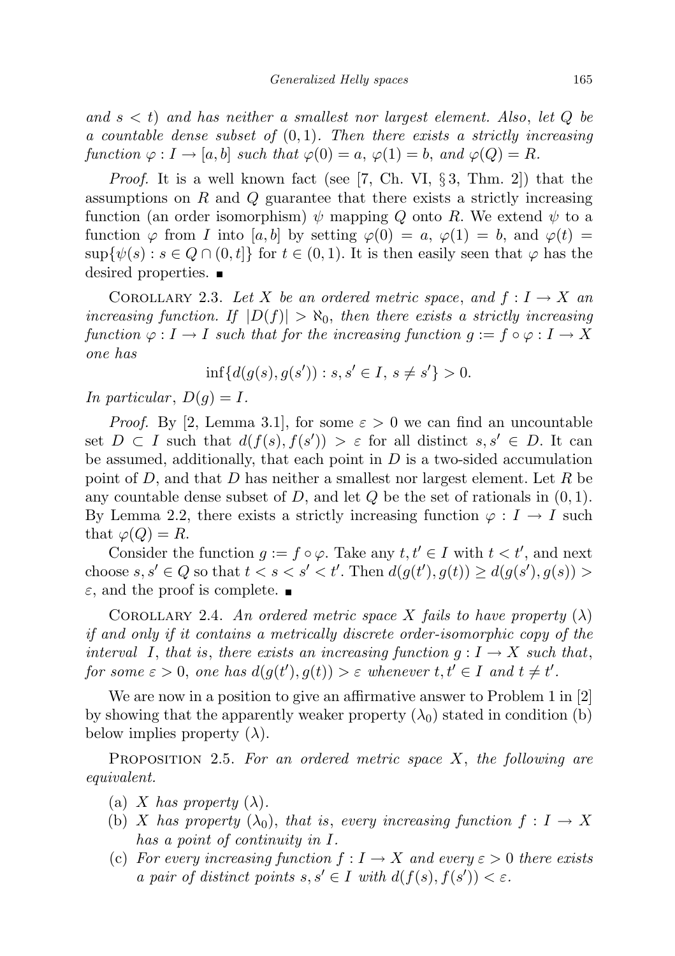and  $s < t$ ) and has neither a smallest nor largest element. Also, let Q be a countable dense subset of  $(0, 1)$ . Then there exists a strictly increasing function  $\varphi: I \to [a, b]$  such that  $\varphi(0) = a, \varphi(1) = b$ , and  $\varphi(Q) = R$ .

*Proof.* It is a well known fact (see [7, Ch. VI,  $\S$ 3, Thm. 2]) that the assumptions on  $R$  and  $Q$  guarantee that there exists a strictly increasing function (an order isomorphism)  $\psi$  mapping Q onto R. We extend  $\psi$  to a function  $\varphi$  from I into [a, b] by setting  $\varphi(0) = a, \varphi(1) = b$ , and  $\varphi(t) =$  $\sup\{\psi(s): s \in Q \cap (0,t]\}\$ for  $t \in (0,1)$ . It is then easily seen that  $\varphi$  has the desired properties.

COROLLARY 2.3. Let X be an ordered metric space, and  $f: I \to X$  an increasing function. If  $|D(f)| > \aleph_0$ , then there exists a strictly increasing function  $\varphi : I \to I$  such that for the increasing function  $q := f \circ \varphi : I \to X$ one has

$$
\inf\{d(g(s), g(s')) : s, s' \in I, s \neq s'\} > 0.
$$

In particular,  $D(g) = I$ .

*Proof.* By [2, Lemma 3.1], for some  $\varepsilon > 0$  we can find an uncountable set  $D \subset I$  such that  $d(f(s), f(s')) > \varepsilon$  for all distinct  $s, s' \in D$ . It can be assumed, additionally, that each point in  $D$  is a two-sided accumulation point of D, and that D has neither a smallest nor largest element. Let R be any countable dense subset of D, and let  $Q$  be the set of rationals in  $(0, 1)$ . By Lemma 2.2, there exists a strictly increasing function  $\varphi: I \to I$  such that  $\varphi(Q) = R$ .

Consider the function  $g := f \circ \varphi$ . Take any  $t, t' \in I$  with  $t < t'$ , and next choose  $s, s' \in Q$  so that  $t < s < s' < t'$ . Then  $d(g(t'), g(t)) \geq d(g(s'), g(s))$  $\varepsilon$ , and the proof is complete.

COROLLARY 2.4. An ordered metric space X fails to have property  $(\lambda)$ if and only if it contains a metrically discrete order-isomorphic copy of the interval I, that is, there exists an increasing function  $g: I \to X$  such that, for some  $\varepsilon > 0$ , one has  $d(g(t'), g(t)) > \varepsilon$  whenever  $t, t' \in I$  and  $t \neq t'$ .

We are now in a position to give an affirmative answer to Problem 1 in [2] by showing that the apparently weaker property  $(\lambda_0)$  stated in condition (b) below implies property  $(\lambda)$ .

PROPOSITION 2.5. For an ordered metric space  $X$ , the following are equivalent.

- (a) X has property  $(\lambda)$ .
- (b) X has property  $(\lambda_0)$ , that is, every increasing function  $f: I \to X$ has a point of continuity in I.
- (c) For every increasing function  $f: I \to X$  and every  $\varepsilon > 0$  there exists a pair of distinct points  $s, s' \in I$  with  $d(f(s), f(s')) < \varepsilon$ .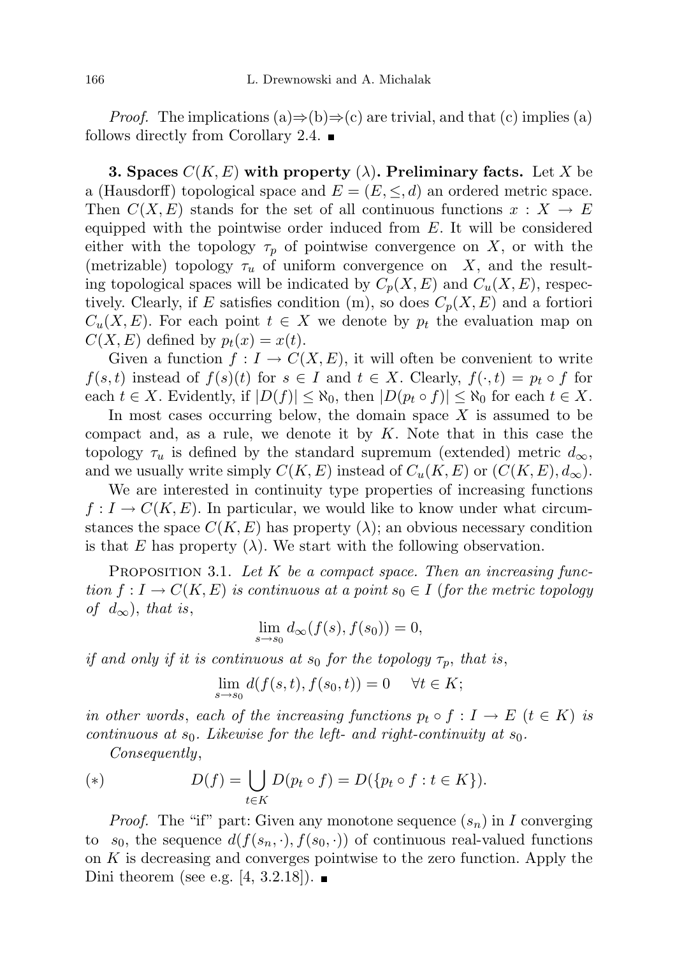*Proof.* The implications (a) $\Rightarrow$ (b) $\Rightarrow$ (c) are trivial, and that (c) implies (a) follows directly from Corollary 2.4.  $\blacksquare$ 

**3. Spaces**  $C(K, E)$  with property  $(\lambda)$ . Preliminary facts. Let X be a (Hausdorff) topological space and  $E = (E, \leq, d)$  an ordered metric space. Then  $C(X, E)$  stands for the set of all continuous functions  $x : X \to E$ equipped with the pointwise order induced from  $E$ . It will be considered either with the topology  $\tau_p$  of pointwise convergence on X, or with the (metrizable) topology  $\tau_u$  of uniform convergence on X, and the resulting topological spaces will be indicated by  $C_p(X, E)$  and  $C_u(X, E)$ , respectively. Clearly, if E satisfies condition (m), so does  $C_p(X, E)$  and a fortiori  $C_u(X, E)$ . For each point  $t \in X$  we denote by  $p_t$  the evaluation map on  $C(X, E)$  defined by  $p_t(x) = x(t)$ .

Given a function  $f: I \to C(X, E)$ , it will often be convenient to write  $f(s,t)$  instead of  $f(s)(t)$  for  $s \in I$  and  $t \in X$ . Clearly,  $f(\cdot,t) = p_t \circ f$  for each  $t \in X$ . Evidently, if  $|D(f)| \leq \aleph_0$ , then  $|D(p_t \circ f)| \leq \aleph_0$  for each  $t \in X$ .

In most cases occurring below, the domain space  $X$  is assumed to be compact and, as a rule, we denote it by  $K$ . Note that in this case the topology  $\tau_u$  is defined by the standard supremum (extended) metric  $d_{\infty}$ , and we usually write simply  $C(K, E)$  instead of  $C_u(K, E)$  or  $(C(K, E), d_{\infty})$ .

We are interested in continuity type properties of increasing functions  $f: I \to C(K, E)$ . In particular, we would like to know under what circumstances the space  $C(K, E)$  has property  $(\lambda)$ ; an obvious necessary condition is that E has property  $(\lambda)$ . We start with the following observation.

PROPOSITION 3.1. Let K be a compact space. Then an increasing function  $f: I \to C(K, E)$  is continuous at a point  $s_0 \in I$  (for the metric topology of  $d_{\infty}$ ), that is,

$$
\lim_{s \to s_0} d_{\infty}(f(s), f(s_0)) = 0,
$$

if and only if it is continuous at  $s_0$  for the topology  $\tau_p$ , that is,

$$
\lim_{s \to s_0} d(f(s, t), f(s_0, t)) = 0 \quad \forall t \in K;
$$

in other words, each of the increasing functions  $p_t \circ f : I \to E$   $(t \in K)$  is continuous at  $s_0$ . Likewise for the left- and right-continuity at  $s_0$ .

Consequently,

(\*) 
$$
D(f) = \bigcup_{t \in K} D(p_t \circ f) = D(\{p_t \circ f : t \in K\}).
$$

*Proof.* The "if" part: Given any monotone sequence  $(s_n)$  in I converging to  $s_0$ , the sequence  $d(f(s_n, \cdot), f(s_0, \cdot))$  of continuous real-valued functions on K is decreasing and converges pointwise to the zero function. Apply the Dini theorem (see e.g. [4, 3.2.18]).  $\blacksquare$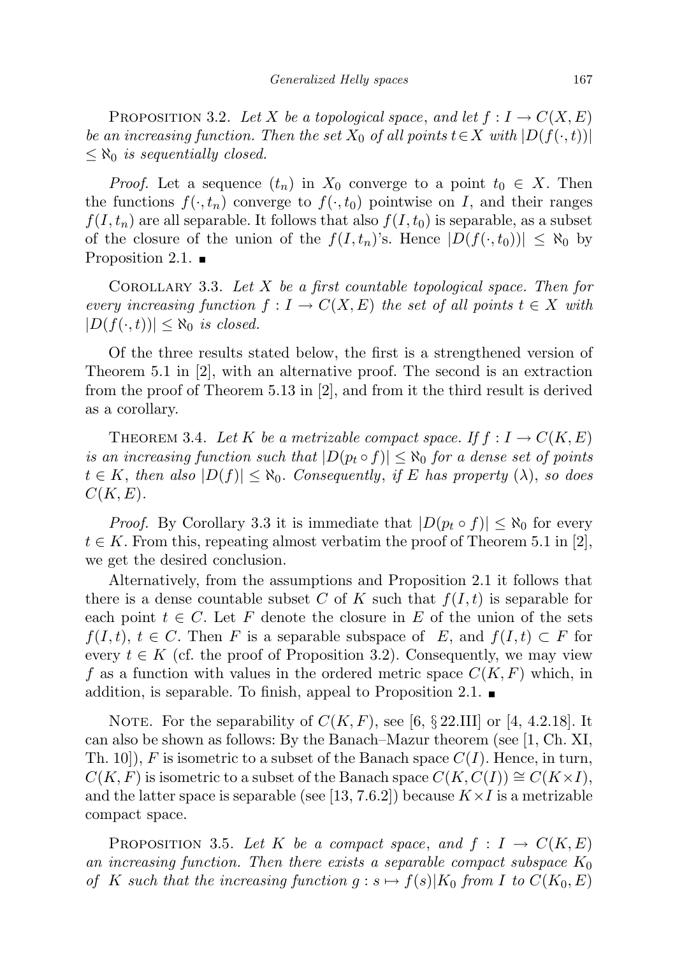PROPOSITION 3.2. Let X be a topological space, and let  $f: I \to C(X, E)$ be an increasing function. Then the set  $X_0$  of all points  $t \in X$  with  $|D(f(\cdot,t))|$  $\leq \aleph_0$  is sequentially closed.

*Proof.* Let a sequence  $(t_n)$  in  $X_0$  converge to a point  $t_0 \in X$ . Then the functions  $f(\cdot, t_n)$  converge to  $f(\cdot, t_0)$  pointwise on I, and their ranges  $f(I, t_n)$  are all separable. It follows that also  $f(I, t_0)$  is separable, as a subset of the closure of the union of the  $f(I, t_n)$ 's. Hence  $|D(f(\cdot, t_0))| \leq \aleph_0$  by Proposition 2.1.  $\blacksquare$ 

COROLLARY 3.3. Let  $X$  be a first countable topological space. Then for every increasing function  $f: I \to C(X, E)$  the set of all points  $t \in X$  with  $|D(f(\cdot,t))| \leq \aleph_0$  is closed.

Of the three results stated below, the first is a strengthened version of Theorem 5.1 in [2], with an alternative proof. The second is an extraction from the proof of Theorem 5.13 in [2], and from it the third result is derived as a corollary.

THEOREM 3.4. Let K be a metrizable compact space. If  $f: I \to C(K, E)$ is an increasing function such that  $|D(p_t \circ f)| \leq \aleph_0$  for a dense set of points  $t \in K$ , then also  $|D(f)| \leq \aleph_0$ . Consequently, if E has property  $(\lambda)$ , so does  $C(K,E).$ 

*Proof.* By Corollary 3.3 it is immediate that  $|D(p_t \circ f)| \leq \aleph_0$  for every  $t \in K$ . From this, repeating almost verbatim the proof of Theorem 5.1 in [2], we get the desired conclusion.

Alternatively, from the assumptions and Proposition 2.1 it follows that there is a dense countable subset C of K such that  $f(I, t)$  is separable for each point  $t \in C$ . Let F denote the closure in E of the union of the sets  $f(I, t), t \in C$ . Then F is a separable subspace of E, and  $f(I, t) \subset F$  for every  $t \in K$  (cf. the proof of Proposition 3.2). Consequently, we may view f as a function with values in the ordered metric space  $C(K, F)$  which, in addition, is separable. To finish, appeal to Proposition 2.1.  $\blacksquare$ 

NOTE. For the separability of  $C(K, F)$ , see [6, § 22.III] or [4, 4.2.18]. It can also be shown as follows: By the Banach–Mazur theorem (see [1, Ch. XI, Th. 10,  $F$  is isometric to a subset of the Banach space  $C(I)$ . Hence, in turn,  $C(K, F)$  is isometric to a subset of the Banach space  $C(K, C(I)) \cong C(K \times I)$ , and the latter space is separable (see [13, 7.6.2]) because  $K \times I$  is a metrizable compact space.

PROPOSITION 3.5. Let K be a compact space, and  $f: I \to C(K, E)$ an increasing function. Then there exists a separable compact subspace  $K_0$ of K such that the increasing function  $g : s \mapsto f(s)|K_0$  from I to  $C(K_0, E)$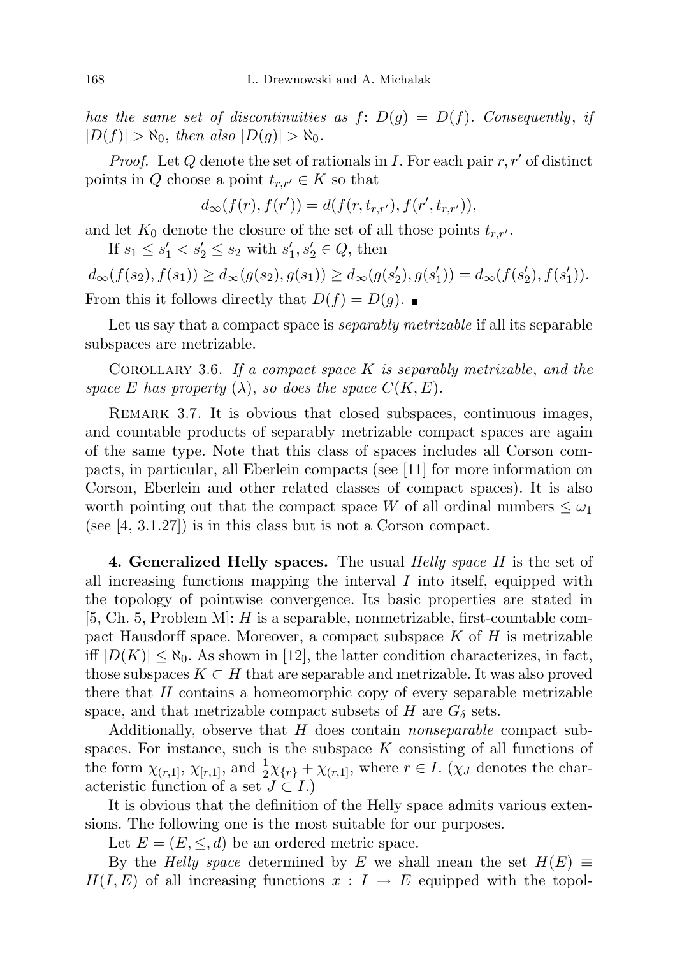has the same set of discontinuities as  $f: D(g) = D(f)$ . Consequently, if  $|D(f)| > \aleph_0$ , then also  $|D(g)| > \aleph_0$ .

*Proof.* Let Q denote the set of rationals in I. For each pair  $r, r'$  of distinct points in Q choose a point  $t_{r,r'} \in K$  so that

$$
d_{\infty}(f(r), f(r')) = d(f(r, t_{r,r'}), f(r', t_{r,r'})),
$$

and let  $K_0$  denote the closure of the set of all those points  $t_{r,r'}$ .

If  $s_1 \leq s_1' < s_2' \leq s_2$  with  $s_1', s_2' \in Q$ , then

 $d_{\infty}(f(s_2), f(s_1)) \geq d_{\infty}(g(s_2), g(s_1)) \geq d_{\infty}(g(s'_2), g(s'_1)) = d_{\infty}(f(s'_2), f(s'_1)).$ From this it follows directly that  $D(f) = D(g)$ .

Let us say that a compact space is *separably metrizable* if all its separable subspaces are metrizable.

COROLLARY 3.6. If a compact space  $K$  is separably metrizable, and the space E has property  $(\lambda)$ , so does the space  $C(K, E)$ .

REMARK 3.7. It is obvious that closed subspaces, continuous images, and countable products of separably metrizable compact spaces are again of the same type. Note that this class of spaces includes all Corson compacts, in particular, all Eberlein compacts (see [11] for more information on Corson, Eberlein and other related classes of compact spaces). It is also worth pointing out that the compact space W of all ordinal numbers  $\leq \omega_1$ (see [4, 3.1.27]) is in this class but is not a Corson compact.

4. Generalized Helly spaces. The usual *Helly space H* is the set of all increasing functions mapping the interval  $I$  into itself, equipped with the topology of pointwise convergence. Its basic properties are stated in  $[5, Ch. 5, Problem M]: H$  is a separable, nonmetrizable, first-countable compact Hausdorff space. Moreover, a compact subspace  $K$  of  $H$  is metrizable iff  $|D(K)| \leq \aleph_0$ . As shown in [12], the latter condition characterizes, in fact, those subspaces  $K \subset H$  that are separable and metrizable. It was also proved there that  $H$  contains a homeomorphic copy of every separable metrizable space, and that metrizable compact subsets of H are  $G_{\delta}$  sets.

Additionally, observe that H does contain *nonseparable* compact subspaces. For instance, such is the subspace  $K$  consisting of all functions of the form  $\chi_{(r,1]}, \chi_{[r,1]},$  and  $\frac{1}{2}\chi_{\{r\}} + \chi_{(r,1]},$  where  $r \in I$ . ( $\chi_J$  denotes the characteristic function of a set  $J \subset I$ .)

It is obvious that the definition of the Helly space admits various extensions. The following one is the most suitable for our purposes.

Let  $E = (E, \leq, d)$  be an ordered metric space.

By the Helly space determined by E we shall mean the set  $H(E) \equiv$  $H(I, E)$  of all increasing functions  $x : I \to E$  equipped with the topol-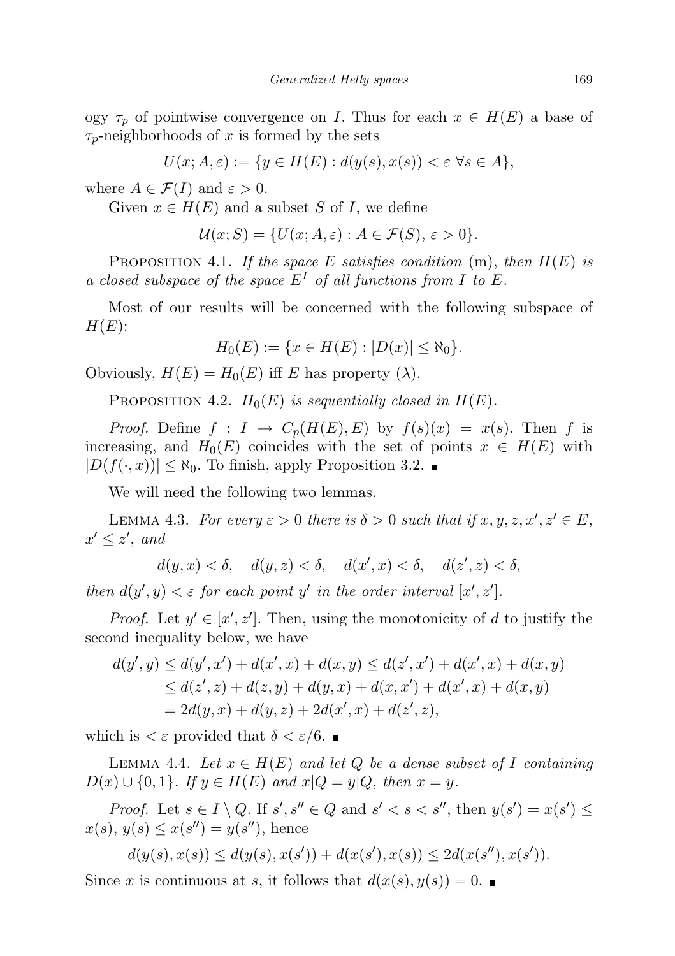ogy  $\tau_p$  of pointwise convergence on I. Thus for each  $x \in H(E)$  a base of  $\tau_p$ -neighborhoods of x is formed by the sets

$$
U(x; A, \varepsilon) := \{ y \in H(E) : d(y(s), x(s)) < \varepsilon \,\forall s \in A \},
$$

where  $A \in \mathcal{F}(I)$  and  $\varepsilon > 0$ .

Given  $x \in H(E)$  and a subset S of I, we define

 $\mathcal{U}(x;S) = \{U(x;A,\varepsilon): A \in \mathcal{F}(S), \varepsilon > 0\}.$ 

PROPOSITION 4.1. If the space E satisfies condition  $(m)$ , then  $H(E)$  is a closed subspace of the space  $E^I$  of all functions from I to E.

Most of our results will be concerned with the following subspace of  $H(E)$ :

$$
H_0(E) := \{ x \in H(E) : |D(x)| \le \aleph_0 \}.
$$

Obviously,  $H(E) = H_0(E)$  iff E has property ( $\lambda$ ).

PROPOSITION 4.2.  $H_0(E)$  is sequentially closed in  $H(E)$ .

*Proof.* Define  $f: I \to C_p(H(E), E)$  by  $f(s)(x) = x(s)$ . Then f is increasing, and  $H_0(E)$  coincides with the set of points  $x \in H(E)$  with  $|D(f(\cdot, x))| \leq \aleph_0$ . To finish, apply Proposition 3.2.

We will need the following two lemmas.

LEMMA 4.3. For every  $\varepsilon > 0$  there is  $\delta > 0$  such that if  $x, y, z, x', z' \in E$ ,  $x' \leq z'$ , and

 $d(y, x) < \delta, \quad d(y, z) < \delta, \quad d(x', x) < \delta, \quad d(z', z) < \delta,$ 

then  $d(y', y) < \varepsilon$  for each point y' in the order interval  $[x', z']$ .

*Proof.* Let  $y' \in [x', z']$ . Then, using the monotonicity of d to justify the second inequality below, we have

$$
d(y', y) \le d(y', x') + d(x', x) + d(x, y) \le d(z', x') + d(x', x) + d(x, y)
$$
  
\n
$$
\le d(z', z) + d(z, y) + d(y, x) + d(x, x') + d(x', x) + d(x, y)
$$
  
\n
$$
= 2d(y, x) + d(y, z) + 2d(x', x) + d(z', z),
$$

which is  $\epsilon \in \mathcal{E}$  provided that  $\delta \leq \epsilon/6$ .

LEMMA 4.4. Let  $x \in H(E)$  and let Q be a dense subset of I containing  $D(x) \cup \{0,1\}$ . If  $y \in H(E)$  and  $x|Q = y|Q$ , then  $x = y$ .

*Proof.* Let  $s \in I \setminus Q$ . If  $s', s'' \in Q$  and  $s' < s < s''$ , then  $y(s') = x(s') \le$  $x(s), y(s) \leq x(s'') = y(s'')$ , hence

$$
d(y(s), x(s)) \le d(y(s), x(s')) + d(x(s'), x(s)) \le 2d(x(s''), x(s')).
$$

Since x is continuous at s, it follows that  $d(x(s), y(s)) = 0$ .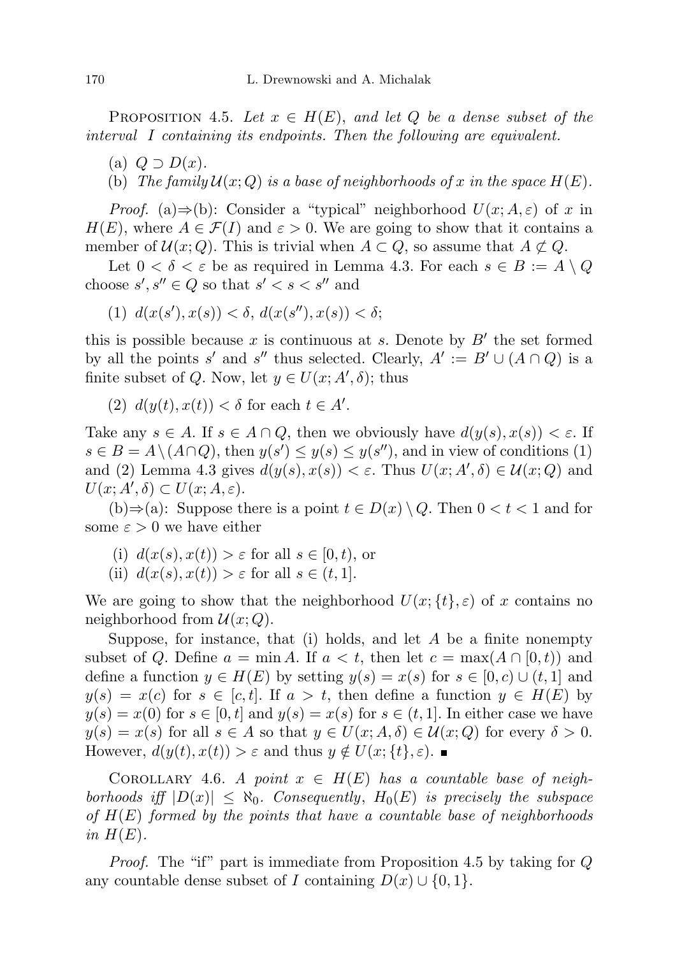PROPOSITION 4.5. Let  $x \in H(E)$ , and let Q be a dense subset of the interval I containing its endpoints. Then the following are equivalent.

- (a)  $Q \supset D(x)$ .
- (b) The family  $\mathcal{U}(x;Q)$  is a base of neighborhoods of x in the space  $H(E)$ .

*Proof.* (a)⇒(b): Consider a "typical" neighborhood  $U(x; A, \varepsilon)$  of x in  $H(E)$ , where  $A \in \mathcal{F}(I)$  and  $\varepsilon > 0$ . We are going to show that it contains a member of  $\mathcal{U}(x; Q)$ . This is trivial when  $A \subset Q$ , so assume that  $A \not\subset Q$ .

Let  $0 < \delta < \varepsilon$  be as required in Lemma 4.3. For each  $s \in B := A \setminus Q$ choose  $s', s'' \in Q$  so that  $s' < s < s''$  and

(1)  $d(x(s'), x(s)) < \delta, d(x(s''), x(s)) < \delta;$ 

this is possible because  $x$  is continuous at  $s$ . Denote by  $B'$  the set formed by all the points s' and s'' thus selected. Clearly,  $A' := B' \cup (A \cap Q)$  is a finite subset of Q. Now, let  $y \in U(x; A', \delta)$ ; thus

(2)  $d(y(t), x(t)) < \delta$  for each  $t \in A'$ .

Take any  $s \in A$ . If  $s \in A \cap Q$ , then we obviously have  $d(y(s), x(s)) < \varepsilon$ . If  $s \in B = A \setminus (A \cap Q)$ , then  $y(s') \leq y(s) \leq y(s'')$ , and in view of conditions (1) and (2) Lemma 4.3 gives  $d(y(s), x(s)) < \varepsilon$ . Thus  $U(x; A', \delta) \in \mathcal{U}(x; Q)$  and  $U(x; A', \delta) \subset U(x; A, \varepsilon).$ 

(b)⇒(a): Suppose there is a point  $t \in D(x) \setminus Q$ . Then  $0 < t < 1$  and for some  $\varepsilon > 0$  we have either

- (i)  $d(x(s), x(t)) > \varepsilon$  for all  $s \in [0, t)$ , or
- (ii)  $d(x(s), x(t)) > \varepsilon$  for all  $s \in (t, 1]$ .

We are going to show that the neighborhood  $U(x; {t}, \varepsilon)$  of x contains no neighborhood from  $\mathcal{U}(x; Q)$ .

Suppose, for instance, that (i) holds, and let  $A$  be a finite nonempty subset of Q. Define  $a = \min A$ . If  $a < t$ , then let  $c = \max(A \cap [0, t))$  and define a function  $y \in H(E)$  by setting  $y(s) = x(s)$  for  $s \in [0, c) \cup (t, 1]$  and  $y(s) = x(c)$  for  $s \in [c, t]$ . If  $a > t$ , then define a function  $y \in H(E)$  by  $y(s) = x(0)$  for  $s \in [0, t]$  and  $y(s) = x(s)$  for  $s \in (t, 1]$ . In either case we have  $y(s) = x(s)$  for all  $s \in A$  so that  $y \in U(x; A, \delta) \in \mathcal{U}(x; Q)$  for every  $\delta > 0$ . However,  $d(y(t), x(t)) > \varepsilon$  and thus  $y \notin U(x; \{t\}, \varepsilon)$ .

COROLLARY 4.6. A point  $x \in H(E)$  has a countable base of neighborhoods iff  $|D(x)| \leq \aleph_0$ . Consequently,  $H_0(E)$  is precisely the subspace of  $H(E)$  formed by the points that have a countable base of neighborhoods in  $H(E)$ .

Proof. The "if" part is immediate from Proposition 4.5 by taking for Q any countable dense subset of I containing  $D(x) \cup \{0, 1\}.$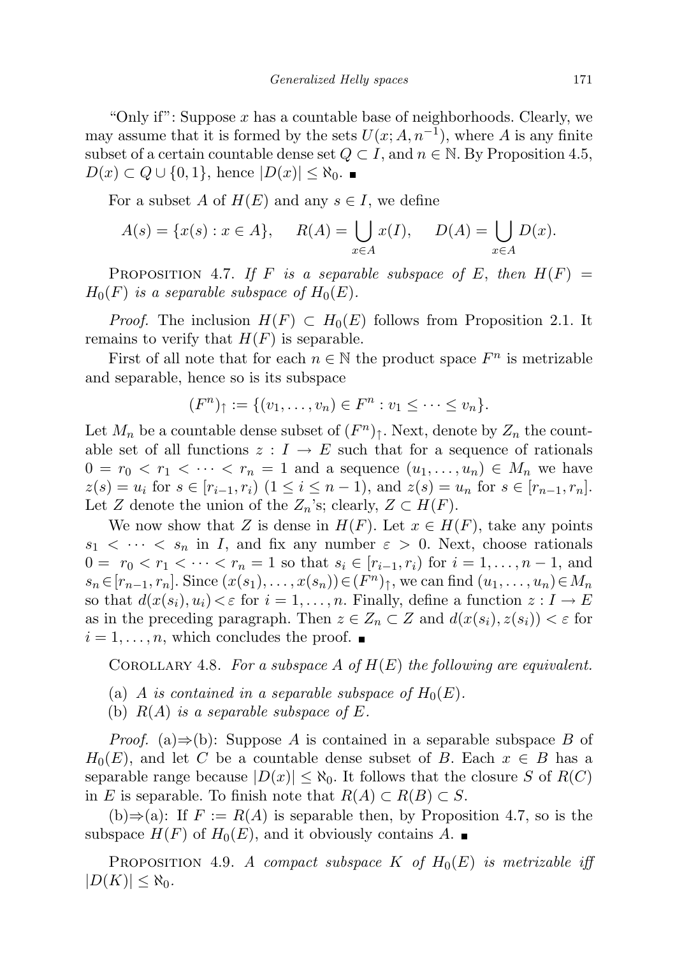"Only if": Suppose  $x$  has a countable base of neighborhoods. Clearly, we may assume that it is formed by the sets  $U(x; A, n^{-1})$ , where A is any finite subset of a certain countable dense set  $Q \subset I$ , and  $n \in \mathbb{N}$ . By Proposition 4.5,  $D(x) \subset Q \cup \{0,1\}$ , hence  $|D(x)| \leq \aleph_0$ .

For a subset A of  $H(E)$  and any  $s \in I$ , we define

$$
A(s) = \{x(s) : x \in A\}, \quad R(A) = \bigcup_{x \in A} x(I), \quad D(A) = \bigcup_{x \in A} D(x).
$$

PROPOSITION 4.7. If F is a separable subspace of E, then  $H(F) =$  $H_0(F)$  is a separable subspace of  $H_0(E)$ .

*Proof.* The inclusion  $H(F) \subset H_0(E)$  follows from Proposition 2.1. It remains to verify that  $H(F)$  is separable.

First of all note that for each  $n \in \mathbb{N}$  the product space  $F^n$  is metrizable and separable, hence so is its subspace

$$
(F^{n})_{\uparrow} := \{(v_{1}, \ldots, v_{n}) \in F^{n} : v_{1} \leq \cdots \leq v_{n}\}.
$$

Let  $M_n$  be a countable dense subset of  $(F^n)$ <sup> $\uparrow$ </sup>. Next, denote by  $Z_n$  the countable set of all functions  $z: I \to E$  such that for a sequence of rationals  $0 = r_0 < r_1 < \cdots < r_n = 1$  and a sequence  $(u_1, \ldots, u_n) \in M_n$  we have  $z(s) = u_i$  for  $s \in [r_{i-1}, r_i)$   $(1 \le i \le n-1)$ , and  $z(s) = u_n$  for  $s \in [r_{n-1}, r_n]$ . Let Z denote the union of the  $Z_n$ 's; clearly,  $Z \subset H(F)$ .

We now show that Z is dense in  $H(F)$ . Let  $x \in H(F)$ , take any points  $s_1 < \cdots < s_n$  in I, and fix any number  $\varepsilon > 0$ . Next, choose rationals  $0 = r_0 < r_1 < \cdots < r_n = 1$  so that  $s_i \in [r_{i-1}, r_i]$  for  $i = 1, \ldots, n-1$ , and  $s_n \in [r_{n-1}, r_n]$ . Since  $(x(s_1), \ldots, x(s_n)) \in (F^n)_{\uparrow}$ , we can find  $(u_1, \ldots, u_n) \in M_n$ so that  $d(x(s_i), u_i) < \varepsilon$  for  $i = 1, \ldots, n$ . Finally, define a function  $z : I \to E$ as in the preceding paragraph. Then  $z \in Z_n \subset Z$  and  $d(x(s_i), z(s_i)) < \varepsilon$  for  $i = 1, \ldots, n$ , which concludes the proof.

COROLLARY 4.8. For a subspace A of  $H(E)$  the following are equivalent.

- (a) A is contained in a separable subspace of  $H_0(E)$ .
- (b)  $R(A)$  is a separable subspace of E.

*Proof.* (a)⇒(b): Suppose A is contained in a separable subspace B of  $H_0(E)$ , and let C be a countable dense subset of B. Each  $x \in B$  has a separable range because  $|D(x)| \leq \aleph_0$ . It follows that the closure S of  $R(C)$ in E is separable. To finish note that  $R(A) \subset R(B) \subset S$ .

(b)⇒(a): If  $F := R(A)$  is separable then, by Proposition 4.7, so is the subspace  $H(F)$  of  $H_0(E)$ , and it obviously contains A.

PROPOSITION 4.9. A compact subspace K of  $H_0(E)$  is metrizable iff  $|D(K)| \leq \aleph_0$ .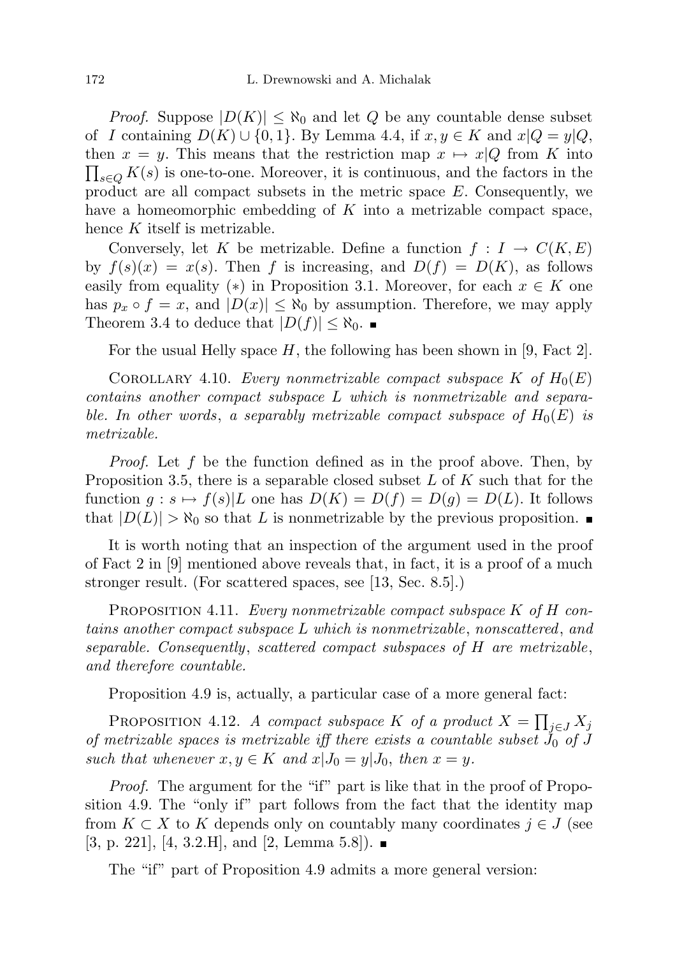*Proof.* Suppose  $|D(K)| \leq \aleph_0$  and let Q be any countable dense subset of I containing  $D(K) \cup \{0,1\}$ . By Lemma 4.4, if  $x, y \in K$  and  $x|Q = y|Q$ , then  $x = y$ . This means that the restriction map  $x \mapsto x|Q$  from K into  $\prod_{s\in Q} K(s)$  is one-to-one. Moreover, it is continuous, and the factors in the product are all compact subsets in the metric space E. Consequently, we have a homeomorphic embedding of  $K$  into a metrizable compact space, hence K itself is metrizable.

Conversely, let K be metrizable. Define a function  $f: I \to C(K, E)$ by  $f(s)(x) = x(s)$ . Then f is increasing, and  $D(f) = D(K)$ , as follows easily from equality (\*) in Proposition 3.1. Moreover, for each  $x \in K$  one has  $p_x \circ f = x$ , and  $|D(x)| \leq \aleph_0$  by assumption. Therefore, we may apply Theorem 3.4 to deduce that  $|D(f)| \leq \aleph_0$ .

For the usual Helly space  $H$ , the following has been shown in [9, Fact 2].

COROLLARY 4.10. Every nonmetrizable compact subspace K of  $H_0(E)$ contains another compact subspace L which is nonmetrizable and separable. In other words, a separably metrizable compact subspace of  $H_0(E)$  is metrizable.

Proof. Let f be the function defined as in the proof above. Then, by Proposition 3.5, there is a separable closed subset  $L$  of  $K$  such that for the function  $g : s \mapsto f(s)|L$  one has  $D(K) = D(f) = D(g) = D(L)$ . It follows that  $|D(L)| > \aleph_0$  so that L is nonmetrizable by the previous proposition.

It is worth noting that an inspection of the argument used in the proof of Fact 2 in [9] mentioned above reveals that, in fact, it is a proof of a much stronger result. (For scattered spaces, see [13, Sec. 8.5].)

PROPOSITION 4.11. Every nonmetrizable compact subspace K of H contains another compact subspace L which is nonmetrizable, nonscattered, and separable. Consequently, scattered compact subspaces of H are metrizable, and therefore countable.

Proposition 4.9 is, actually, a particular case of a more general fact:

PROPOSITION 4.12. A compact subspace K of a product  $X = \prod_{j \in J} X_j$ of metrizable spaces is metrizable iff there exists a countable subset  $\tilde{J}_0$  of J such that whenever  $x, y \in K$  and  $x|J_0 = y|J_0$ , then  $x = y$ .

Proof. The argument for the "if" part is like that in the proof of Proposition 4.9. The "only if" part follows from the fact that the identity map from  $K \subset X$  to K depends only on countably many coordinates  $j \in J$  (see  $[3, p. 221], [4, 3.2.H], \text{ and } [2, \text{ Lemma } 5.8]). \blacksquare$ 

The "if" part of Proposition 4.9 admits a more general version: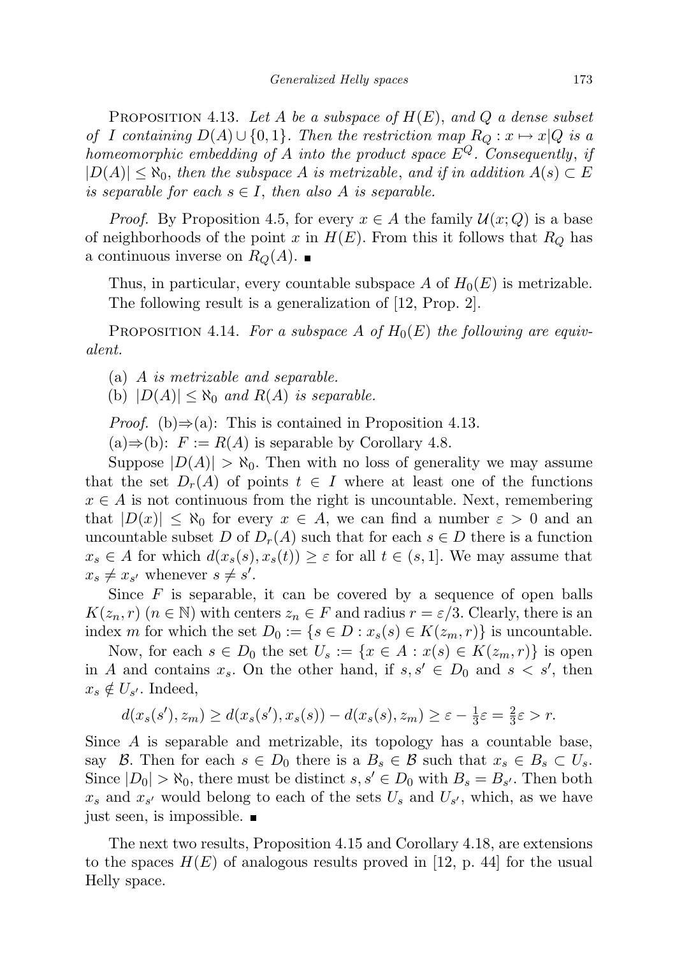PROPOSITION 4.13. Let A be a subspace of  $H(E)$ , and Q a dense subset of I containing  $D(A) \cup \{0,1\}$ . Then the restriction map  $R_Q: x \mapsto x|Q$  is a homeomorphic embedding of A into the product space  $E^{Q}$ . Consequently, if  $|D(A)| \leq \aleph_0$ , then the subspace A is metrizable, and if in addition  $A(s) \subset E$ is separable for each  $s \in I$ , then also A is separable.

*Proof.* By Proposition 4.5, for every  $x \in A$  the family  $\mathcal{U}(x; Q)$  is a base of neighborhoods of the point x in  $H(E)$ . From this it follows that  $R_Q$  has a continuous inverse on  $R_Q(A)$ .

Thus, in particular, every countable subspace A of  $H_0(E)$  is metrizable. The following result is a generalization of [12, Prop. 2].

PROPOSITION 4.14. For a subspace A of  $H_0(E)$  the following are equivalent.

(a) A is metrizable and separable.

(b)  $|D(A)| \leq \aleph_0$  and  $R(A)$  is separable.

*Proof.* (b) $\Rightarrow$ (a): This is contained in Proposition 4.13.

 $(a) \Rightarrow (b): F := R(A)$  is separable by Corollary 4.8.

Suppose  $|D(A)| > \aleph_0$ . Then with no loss of generality we may assume that the set  $D_r(A)$  of points  $t \in I$  where at least one of the functions  $x \in A$  is not continuous from the right is uncountable. Next, remembering that  $|D(x)| \leq \aleph_0$  for every  $x \in A$ , we can find a number  $\varepsilon > 0$  and an uncountable subset D of  $D_r(A)$  such that for each  $s \in D$  there is a function  $x_s \in A$  for which  $d(x_s(s), x_s(t)) \geq \varepsilon$  for all  $t \in (s, 1]$ . We may assume that  $x_s \neq x_{s'}$  whenever  $s \neq s'$ .

Since  $F$  is separable, it can be covered by a sequence of open balls  $K(z_n, r)$  ( $n \in \mathbb{N}$ ) with centers  $z_n \in F$  and radius  $r = \varepsilon/3$ . Clearly, there is an index m for which the set  $D_0 := \{s \in D : x_s(s) \in K(z_m, r)\}\$ is uncountable.

Now, for each  $s \in D_0$  the set  $U_s := \{x \in A : x(s) \in K(z_m, r)\}\$ is open in A and contains  $x_s$ . On the other hand, if  $s, s' \in D_0$  and  $s < s'$ , then  $x_s \notin U_{s'}$ . Indeed,

$$
d(x_s(s'), z_m) \ge d(x_s(s'), x_s(s)) - d(x_s(s), z_m) \ge \varepsilon - \frac{1}{3}\varepsilon = \frac{2}{3}\varepsilon > r.
$$

Since A is separable and metrizable, its topology has a countable base, say B. Then for each  $s \in D_0$  there is a  $B_s \in \mathcal{B}$  such that  $x_s \in B_s \subset U_s$ . Since  $|D_0| > \aleph_0$ , there must be distinct  $s, s' \in D_0$  with  $B_s = B_{s'}$ . Then both  $x_s$  and  $x_{s'}$  would belong to each of the sets  $U_s$  and  $U_{s'}$ , which, as we have just seen, is impossible.

The next two results, Proposition 4.15 and Corollary 4.18, are extensions to the spaces  $H(E)$  of analogous results proved in [12, p. 44] for the usual Helly space.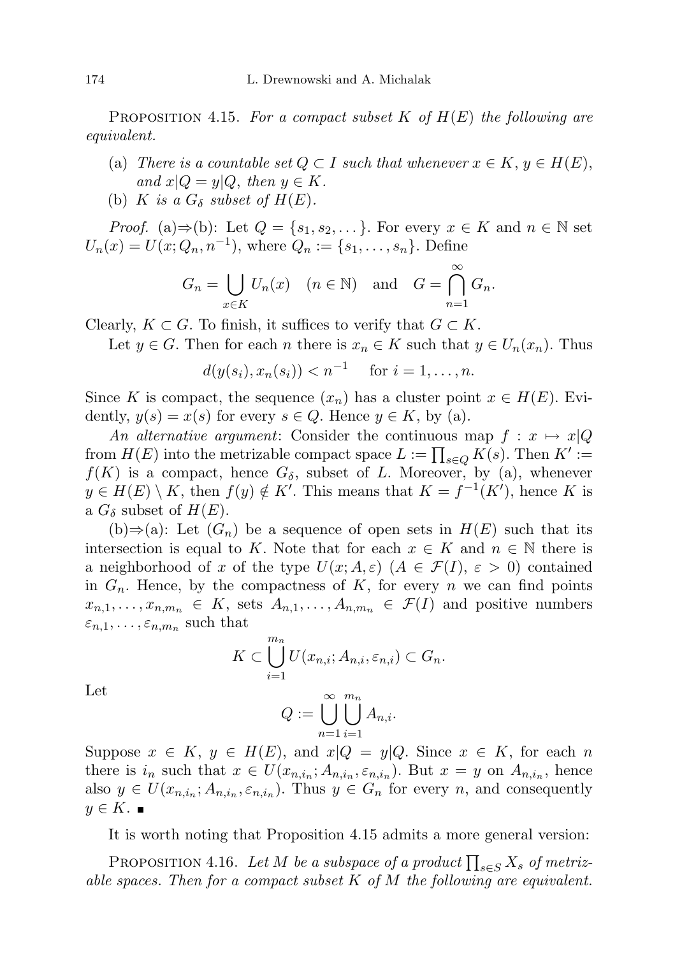PROPOSITION 4.15. For a compact subset K of  $H(E)$  the following are equivalent.

- (a) There is a countable set  $Q \subset I$  such that whenever  $x \in K$ ,  $y \in H(E)$ , and  $x|Q = y|Q$ , then  $y \in K$ .
- (b) K is a  $G_{\delta}$  subset of  $H(E)$ .

*Proof.* (a)⇒(b): Let  $Q = \{s_1, s_2, \dots\}$ . For every  $x \in K$  and  $n \in \mathbb{N}$  set  $U_n(x) = U(x; Q_n, n^{-1}),$  where  $Q_n := \{s_1, \ldots, s_n\}.$  Define

$$
G_n = \bigcup_{x \in K} U_n(x) \quad (n \in \mathbb{N}) \quad \text{and} \quad G = \bigcap_{n=1}^{\infty} G_n.
$$

Clearly,  $K \subset G$ . To finish, it suffices to verify that  $G \subset K$ .

Let 
$$
y \in G
$$
. Then for each *n* there is  $x_n \in K$  such that  $y \in U_n(x_n)$ . Thus

$$
d(y(s_i), x_n(s_i)) < n^{-1}
$$
 for  $i = 1, ..., n$ .

Since K is compact, the sequence  $(x_n)$  has a cluster point  $x \in H(E)$ . Evidently,  $y(s) = x(s)$  for every  $s \in Q$ . Hence  $y \in K$ , by (a).

An alternative argument: Consider the continuous map  $f: x \mapsto x|Q$ from  $H(E)$  into the metrizable compact space  $L := \prod_{s \in Q} K(s)$ . Then  $K' :=$  $f(K)$  is a compact, hence  $G_{\delta}$ , subset of L. Moreover, by (a), whenever  $y \in H(E) \setminus K$ , then  $f(y) \notin K'$ . This means that  $K = f^{-1}(K')$ , hence K is a  $G_{\delta}$  subset of  $H(E)$ .

(b)⇒(a): Let  $(G_n)$  be a sequence of open sets in  $H(E)$  such that its intersection is equal to K. Note that for each  $x \in K$  and  $n \in \mathbb{N}$  there is a neighborhood of x of the type  $U(x; A, \varepsilon)$   $(A \in \mathcal{F}(I), \varepsilon > 0)$  contained in  $G_n$ . Hence, by the compactness of K, for every n we can find points  $x_{n,1}, \ldots, x_{n,m_n} \in K$ , sets  $A_{n,1}, \ldots, A_{n,m_n} \in \mathcal{F}(I)$  and positive numbers  $\varepsilon_{n,1},\ldots,\varepsilon_{n,m_n}$  such that

$$
K \subset \bigcup_{i=1}^{m_n} U(x_{n,i}; A_{n,i}, \varepsilon_{n,i}) \subset G_n.
$$

Let

$$
Q := \bigcup_{n=1}^{\infty} \bigcup_{i=1}^{m_n} A_{n,i}.
$$

Suppose  $x \in K$ ,  $y \in H(E)$ , and  $x|Q = y|Q$ . Since  $x \in K$ , for each n there is  $i_n$  such that  $x \in U(x_{n,i_n}; A_{n,i_n}, \varepsilon_{n,i_n})$ . But  $x = y$  on  $A_{n,i_n}$ , hence also  $y \in U(x_{n,i_n}; A_{n,i_n}, \varepsilon_{n,i_n})$ . Thus  $y \in G_n$  for every n, and consequently  $y \in K$ .

It is worth noting that Proposition 4.15 admits a more general version:

PROPOSITION 4.16. Let M be a subspace of a product  $\prod_{s \in S} X_s$  of metrizable spaces. Then for a compact subset  $K$  of  $M$  the following are equivalent.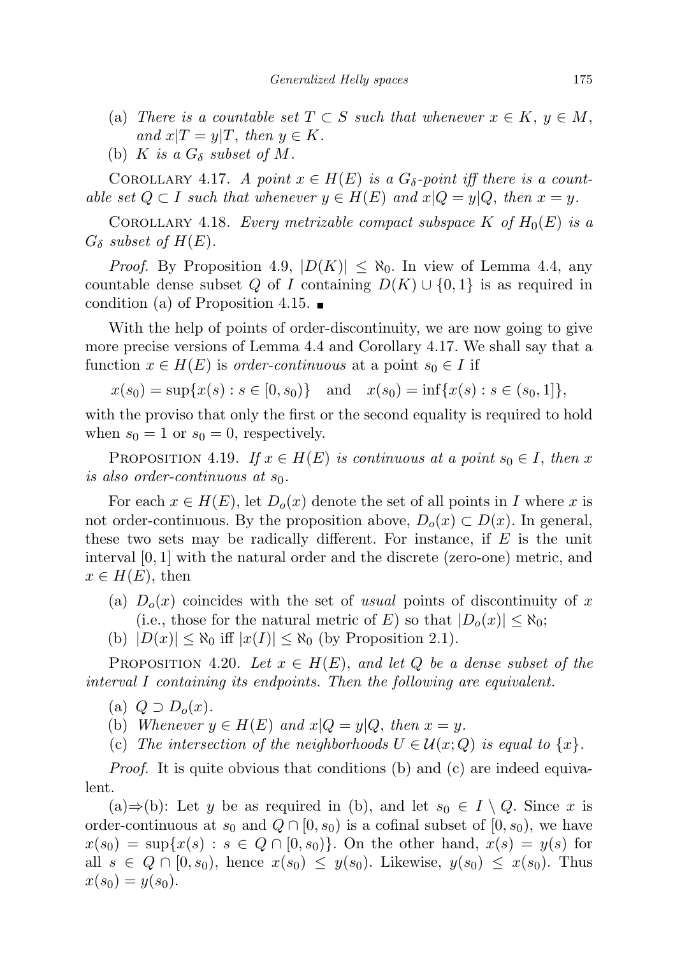- (a) There is a countable set  $T \subset S$  such that whenever  $x \in K$ ,  $y \in M$ , and  $x|T = y|T$ , then  $y \in K$ .
- (b) K is a  $G_{\delta}$  subset of M.

COROLLARY 4.17. A point  $x \in H(E)$  is a  $G_{\delta}$ -point iff there is a countable set  $Q \subset I$  such that whenever  $y \in H(E)$  and  $x|Q = y|Q$ , then  $x = y$ .

COROLLARY 4.18. Every metrizable compact subspace K of  $H_0(E)$  is a  $G_{\delta}$  subset of  $H(E)$ .

*Proof.* By Proposition 4.9,  $|D(K)| \leq \aleph_0$ . In view of Lemma 4.4, any countable dense subset Q of I containing  $D(K) \cup \{0,1\}$  is as required in condition (a) of Proposition 4.15.  $\blacksquare$ 

With the help of points of order-discontinuity, we are now going to give more precise versions of Lemma 4.4 and Corollary 4.17. We shall say that a function  $x \in H(E)$  is *order-continuous* at a point  $s_0 \in I$  if

 $x(s_0) = \sup\{x(s) : s \in [0, s_0)\}\$ and  $x(s_0) = \inf\{x(s) : s \in (s_0, 1]\},$ 

with the proviso that only the first or the second equality is required to hold when  $s_0 = 1$  or  $s_0 = 0$ , respectively.

PROPOSITION 4.19. If  $x \in H(E)$  is continuous at a point  $s_0 \in I$ , then x is also order-continuous at  $s_0$ .

For each  $x \in H(E)$ , let  $D<sub>o</sub>(x)$  denote the set of all points in I where x is not order-continuous. By the proposition above,  $D_o(x) \subset D(x)$ . In general, these two sets may be radically different. For instance, if  $E$  is the unit interval [0, 1] with the natural order and the discrete (zero-one) metric, and  $x \in H(E)$ , then

- (a)  $D<sub>o</sub>(x)$  coincides with the set of usual points of discontinuity of x (i.e., those for the natural metric of E) so that  $|D_o(x)| \leq \aleph_0$ ;
- (b)  $|D(x)| \leq \aleph_0$  iff  $|x(I)| \leq \aleph_0$  (by Proposition 2.1).

PROPOSITION 4.20. Let  $x \in H(E)$ , and let Q be a dense subset of the interval I containing its endpoints. Then the following are equivalent.

- (a)  $Q \supset D_o(x)$ .
- (b) Whenever  $y \in H(E)$  and  $x|Q = y|Q$ , then  $x = y$ .
- (c) The intersection of the neighborhoods  $U \in \mathcal{U}(x; Q)$  is equal to  $\{x\}$ .

Proof. It is quite obvious that conditions (b) and (c) are indeed equivalent.

(a)⇒(b): Let y be as required in (b), and let  $s_0 \text{ } \in I \setminus Q$ . Since x is order-continuous at  $s_0$  and  $Q \cap [0, s_0)$  is a cofinal subset of  $[0, s_0)$ , we have  $x(s_0) = \sup\{x(s) : s \in Q \cap [0, s_0)\}\.$  On the other hand,  $x(s) = y(s)$  for all  $s \in Q \cap [0, s_0)$ , hence  $x(s_0) \leq y(s_0)$ . Likewise,  $y(s_0) \leq x(s_0)$ . Thus  $x(s_0) = y(s_0).$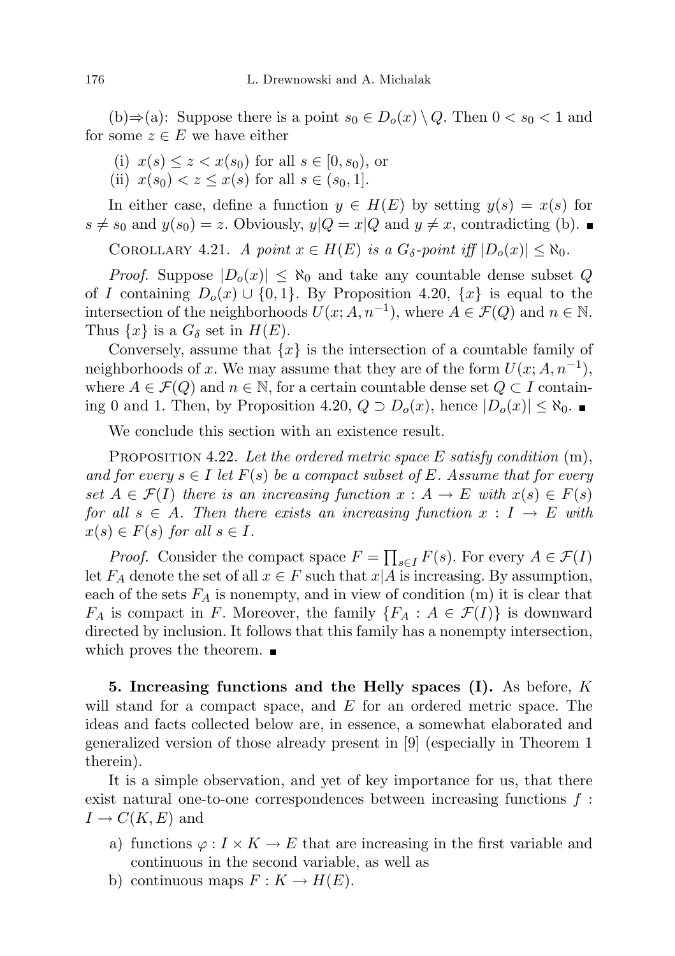(b)⇒(a): Suppose there is a point  $s_0 \in D_o(x) \setminus Q$ . Then  $0 < s_0 < 1$  and for some  $z \in E$  we have either

- (i)  $x(s) \leq z \leq x(s_0)$  for all  $s \in [0, s_0)$ , or
- (ii)  $x(s_0) < z < x(s)$  for all  $s \in (s_0, 1]$ .

In either case, define a function  $y \in H(E)$  by setting  $y(s) = x(s)$  for  $s \neq s_0$  and  $y(s_0) = z$ . Obviously,  $y|Q = x|Q$  and  $y \neq x$ , contradicting (b).

COROLLARY 4.21. A point  $x \in H(E)$  is a  $G_{\delta}$ -point iff  $|D_o(x)| \leq \aleph_0$ .

*Proof.* Suppose  $|D_o(x)| \leq \aleph_0$  and take any countable dense subset Q of I containing  $D_0(x) \cup \{0,1\}$ . By Proposition 4.20,  $\{x\}$  is equal to the intersection of the neighborhoods  $U(x; A, n^{-1})$ , where  $A \in \mathcal{F}(Q)$  and  $n \in \mathbb{N}$ . Thus  $\{x\}$  is a  $G_{\delta}$  set in  $H(E)$ .

Conversely, assume that  $\{x\}$  is the intersection of a countable family of neighborhoods of x. We may assume that they are of the form  $U(x; A, n^{-1})$ , where  $A \in \mathcal{F}(Q)$  and  $n \in \mathbb{N}$ , for a certain countable dense set  $Q \subset I$  containing 0 and 1. Then, by Proposition 4.20,  $Q \supset D_o(x)$ , hence  $|D_o(x)| \leq \aleph_0$ . ■

We conclude this section with an existence result.

PROPOSITION 4.22. Let the ordered metric space  $E$  satisfy condition  $(m)$ , and for every  $s \in I$  let  $F(s)$  be a compact subset of E. Assume that for every set  $A \in \mathcal{F}(I)$  there is an increasing function  $x : A \to E$  with  $x(s) \in F(s)$ for all  $s \in A$ . Then there exists an increasing function  $x : I \to E$  with  $x(s) \in F(s)$  for all  $s \in I$ .

*Proof.* Consider the compact space  $F = \prod_{s \in I} F(s)$ . For every  $A \in \mathcal{F}(I)$ let  $F_A$  denote the set of all  $x \in F$  such that  $x|A$  is increasing. By assumption, each of the sets  $F_A$  is nonempty, and in view of condition  $(m)$  it is clear that  $F_A$  is compact in F. Moreover, the family  $\{F_A : A \in \mathcal{F}(I)\}\$ is downward directed by inclusion. It follows that this family has a nonempty intersection, which proves the theorem.  $\blacksquare$ 

5. Increasing functions and the Helly spaces  $(I)$ . As before, K will stand for a compact space, and  $E$  for an ordered metric space. The ideas and facts collected below are, in essence, a somewhat elaborated and generalized version of those already present in [9] (especially in Theorem 1 therein).

It is a simple observation, and yet of key importance for us, that there exist natural one-to-one correspondences between increasing functions  $f$ :  $I \to C(K, E)$  and

- a) functions  $\varphi: I \times K \to E$  that are increasing in the first variable and continuous in the second variable, as well as
- b) continuous maps  $F: K \to H(E)$ .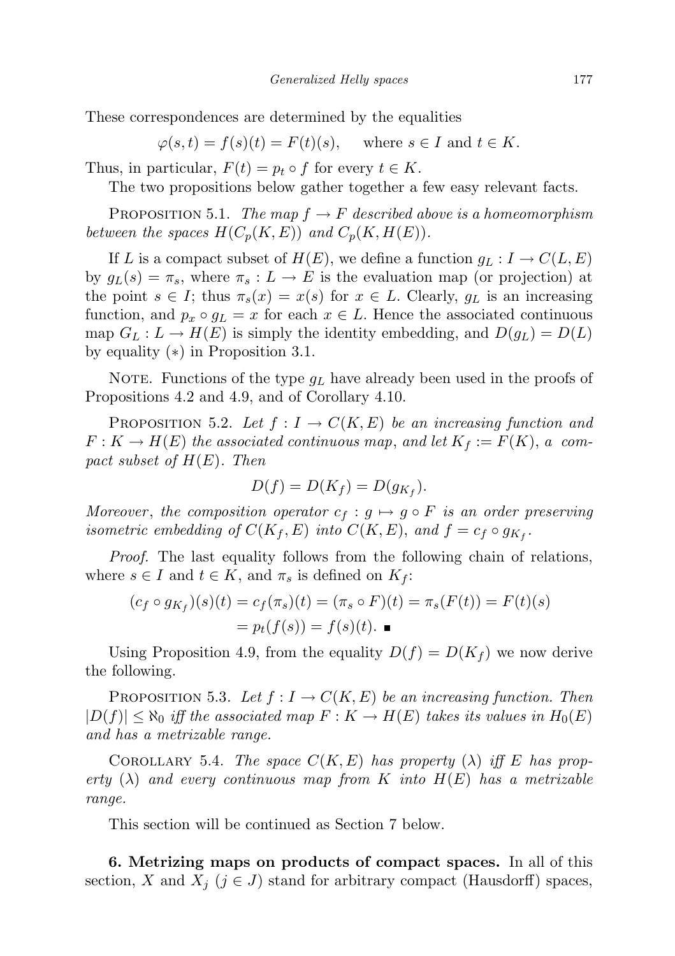These correspondences are determined by the equalities

 $\varphi(s,t) = f(s)(t) = F(t)(s)$ , where  $s \in I$  and  $t \in K$ .

Thus, in particular,  $F(t) = p_t \circ f$  for every  $t \in K$ .

The two propositions below gather together a few easy relevant facts.

PROPOSITION 5.1. The map  $f \to F$  described above is a homeomorphism between the spaces  $H(C_p(K, E))$  and  $C_p(K, H(E))$ .

If L is a compact subset of  $H(E)$ , we define a function  $g_L: I \to C(L, E)$ by  $g_L(s) = \pi_s$ , where  $\pi_s: L \to E$  is the evaluation map (or projection) at the point  $s \in I$ ; thus  $\pi_s(x) = x(s)$  for  $x \in L$ . Clearly,  $g_L$  is an increasing function, and  $p_x \circ q_y = x$  for each  $x \in L$ . Hence the associated continuous map  $G_L: L \to H(E)$  is simply the identity embedding, and  $D(g_L) = D(L)$ by equality (∗) in Proposition 3.1.

NOTE. Functions of the type  $g_L$  have already been used in the proofs of Propositions 4.2 and 4.9, and of Corollary 4.10.

PROPOSITION 5.2. Let  $f: I \to C(K, E)$  be an increasing function and  $F: K \to H(E)$  the associated continuous map, and let  $K_f := F(K)$ , a compact subset of  $H(E)$ . Then

$$
D(f) = D(K_f) = D(g_{K_f}).
$$

Moreover, the composition operator  $c_f : g \mapsto g \circ F$  is an order preserving isometric embedding of  $C(K_f, E)$  into  $C(K, E)$ , and  $f = c_f \circ g_{K_f}$ .

Proof. The last equality follows from the following chain of relations, where  $s \in I$  and  $t \in K$ , and  $\pi_s$  is defined on  $K_f$ :

$$
(c_f \circ g_{K_f})(s)(t) = c_f(\pi_s)(t) = (\pi_s \circ F)(t) = \pi_s(F(t)) = F(t)(s)
$$
  
=  $p_t(f(s)) = f(s)(t)$ .

Using Proposition 4.9, from the equality  $D(f) = D(K_f)$  we now derive the following.

PROPOSITION 5.3. Let  $f: I \to C(K, E)$  be an increasing function. Then  $|D(f)| \leq \aleph_0$  iff the associated map  $F: K \to H(E)$  takes its values in  $H_0(E)$ and has a metrizable range.

COROLLARY 5.4. The space  $C(K, E)$  has property  $(\lambda)$  iff E has property  $(\lambda)$  and every continuous map from K into  $H(E)$  has a metrizable range.

This section will be continued as Section 7 below.

6. Metrizing maps on products of compact spaces. In all of this section, X and  $X_j$  ( $j \in J$ ) stand for arbitrary compact (Hausdorff) spaces,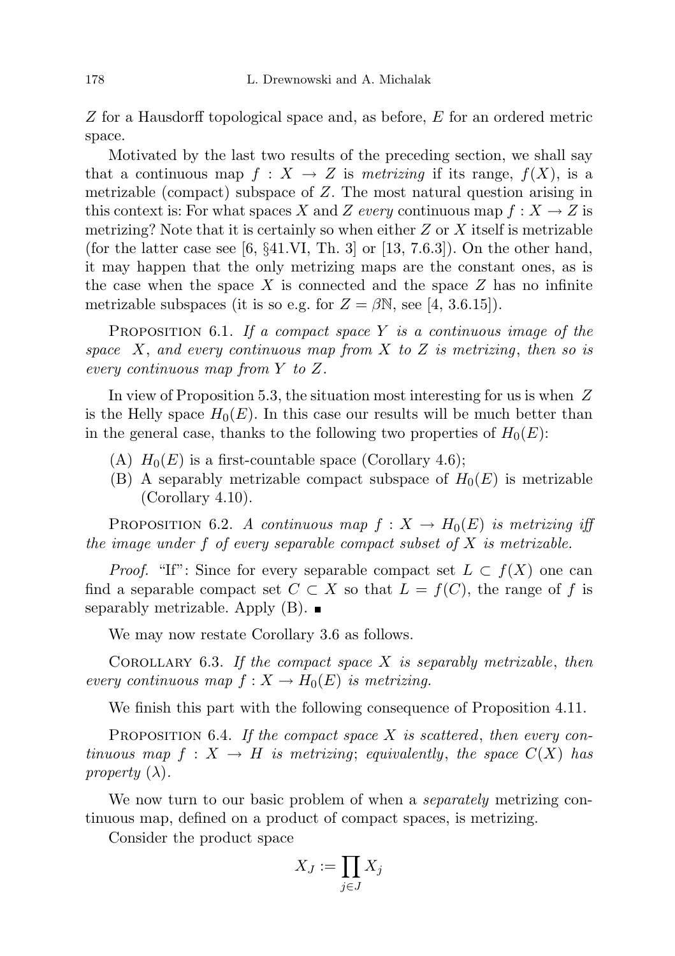Z for a Hausdorff topological space and, as before, E for an ordered metric space.

Motivated by the last two results of the preceding section, we shall say that a continuous map  $f: X \to Z$  is metrizing if its range,  $f(X)$ , is a metrizable (compact) subspace of Z. The most natural question arising in this context is: For what spaces X and Z every continuous map  $f: X \to Z$  is metrizing? Note that it is certainly so when either  $Z$  or  $X$  itself is metrizable (for the latter case see  $[6, \S 41.VI, Th. 3]$  or  $[13, 7.6.3]$ ). On the other hand, it may happen that the only metrizing maps are the constant ones, as is the case when the space  $X$  is connected and the space  $Z$  has no infinite metrizable subspaces (it is so e.g. for  $Z = \beta N$ , see [4, 3.6.15]).

**PROPOSITION** 6.1. If a compact space Y is a continuous image of the space  $X$ , and every continuous map from  $X$  to  $Z$  is metrizing, then so is every continuous map from Y to Z.

In view of Proposition 5.3, the situation most interesting for us is when  $Z$ is the Helly space  $H_0(E)$ . In this case our results will be much better than in the general case, thanks to the following two properties of  $H_0(E)$ :

- (A)  $H_0(E)$  is a first-countable space (Corollary 4.6);
- (B) A separably metrizable compact subspace of  $H_0(E)$  is metrizable (Corollary 4.10).

PROPOSITION 6.2. A continuous map  $f: X \to H_0(E)$  is metrizing iff the image under  $f$  of every separable compact subset of  $X$  is metrizable.

*Proof.* "If": Since for every separable compact set  $L \subset f(X)$  one can find a separable compact set  $C \subset X$  so that  $L = f(C)$ , the range of f is separably metrizable. Apply  $(B)$ .

We may now restate Corollary 3.6 as follows.

COROLLARY 6.3. If the compact space  $X$  is separably metrizable, then every continuous map  $f: X \to H_0(E)$  is metrizing.

We finish this part with the following consequence of Proposition 4.11.

PROPOSITION 6.4. If the compact space  $X$  is scattered, then every continuous map  $f: X \to H$  is metrizing; equivalently, the space  $C(X)$  has property  $(\lambda)$ .

We now turn to our basic problem of when a *separately* metrizing continuous map, defined on a product of compact spaces, is metrizing.

Consider the product space

$$
X_J:=\prod_{j\in J}X_j
$$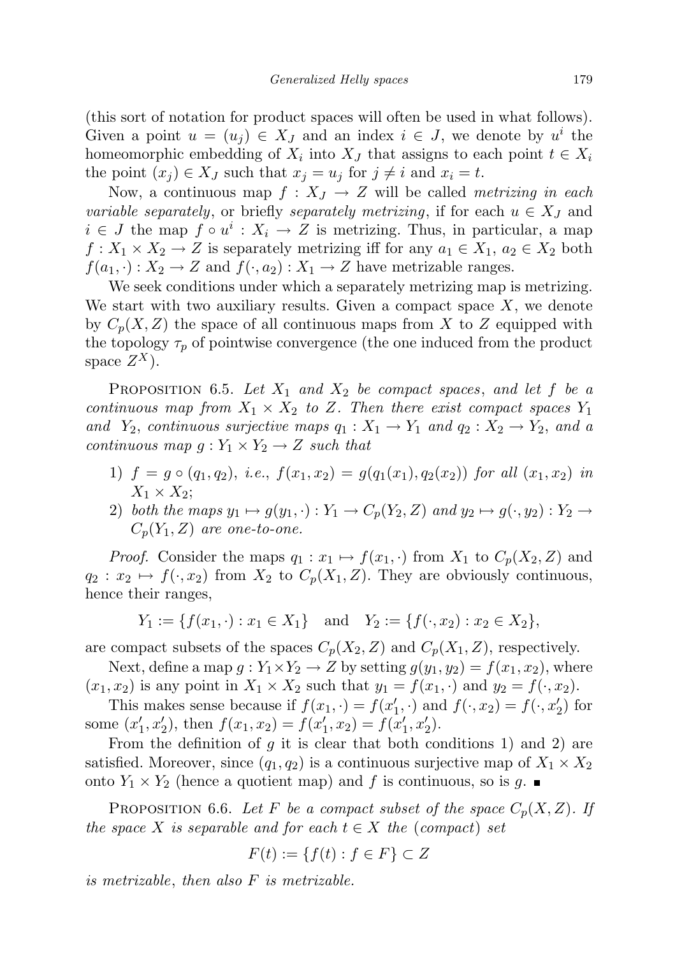(this sort of notation for product spaces will often be used in what follows). Given a point  $u = (u_j) \in X_J$  and an index  $i \in J$ , we denote by  $u^i$  the homeomorphic embedding of  $X_i$  into  $X_j$  that assigns to each point  $t \in X_i$ the point  $(x_j) \in X_J$  such that  $x_j = u_j$  for  $j \neq i$  and  $x_i = t$ .

Now, a continuous map  $f: X_J \to Z$  will be called *metrizing in each* variable separately, or briefly separately metrizing, if for each  $u \in X_J$  and  $i \in J$  the map  $f \circ u^i : X_i \to Z$  is metrizing. Thus, in particular, a map  $f: X_1 \times X_2 \to Z$  is separately metrizing iff for any  $a_1 \in X_1$ ,  $a_2 \in X_2$  both  $f(a_1, \cdot): X_2 \to Z$  and  $f(\cdot, a_2): X_1 \to Z$  have metrizable ranges.

We seek conditions under which a separately metrizing map is metrizing. We start with two auxiliary results. Given a compact space  $X$ , we denote by  $C_p(X, Z)$  the space of all continuous maps from X to Z equipped with the topology  $\tau_p$  of pointwise convergence (the one induced from the product space  $Z^X$ ).

PROPOSITION 6.5. Let  $X_1$  and  $X_2$  be compact spaces, and let f be a continuous map from  $X_1 \times X_2$  to Z. Then there exist compact spaces  $Y_1$ and  $Y_2$ , continuous surjective maps  $q_1 : X_1 \to Y_1$  and  $q_2 : X_2 \to Y_2$ , and a continuous map  $g: Y_1 \times Y_2 \rightarrow Z$  such that

- 1)  $f = g \circ (q_1, q_2), \text{ i.e., } f(x_1, x_2) = g(q_1(x_1), q_2(x_2)) \text{ for all } (x_1, x_2) \text{ in }$  $X_1 \times X_2$ ;
- 2) both the maps  $y_1 \mapsto g(y_1, \cdot) : Y_1 \to C_p(Y_2, Z)$  and  $y_2 \mapsto g(\cdot, y_2) : Y_2 \to C_p(Y_2, Z)$  $C_p(Y_1, Z)$  are one-to-one.

*Proof.* Consider the maps  $q_1 : x_1 \mapsto f(x_1, \cdot)$  from  $X_1$  to  $C_p(X_2, Z)$  and  $q_2 : x_2 \mapsto f(\cdot, x_2)$  from  $X_2$  to  $C_p(X_1, Z)$ . They are obviously continuous, hence their ranges,

 $Y_1 := \{f(x_1, \cdot) : x_1 \in X_1\}$  and  $Y_2 := \{f(\cdot, x_2) : x_2 \in X_2\}$ ,

are compact subsets of the spaces  $C_p(X_2, Z)$  and  $C_p(X_1, Z)$ , respectively.

Next, define a map  $g: Y_1 \times Y_2 \to Z$  by setting  $g(y_1, y_2) = f(x_1, x_2)$ , where  $(x_1, x_2)$  is any point in  $X_1 \times X_2$  such that  $y_1 = f(x_1, \cdot)$  and  $y_2 = f(\cdot, x_2)$ .

This makes sense because if  $f(x_1, \cdot) = f(x'_1, \cdot)$  and  $f(\cdot, x_2) = f(\cdot, x'_2)$  for some  $(x'_1, x'_2)$ , then  $f(x_1, x_2) = f(x'_1, x_2) = f(x'_1, x'_2)$ .

From the definition of  $g$  it is clear that both conditions 1) and 2) are satisfied. Moreover, since  $(q_1, q_2)$  is a continuous surjective map of  $X_1 \times X_2$ onto  $Y_1 \times Y_2$  (hence a quotient map) and f is continuous, so is g.

PROPOSITION 6.6. Let F be a compact subset of the space  $C_p(X, Z)$ . If the space X is separable and for each  $t \in X$  the (compact) set

$$
F(t) := \{ f(t) : f \in F \} \subset Z
$$

is metrizable, then also F is metrizable.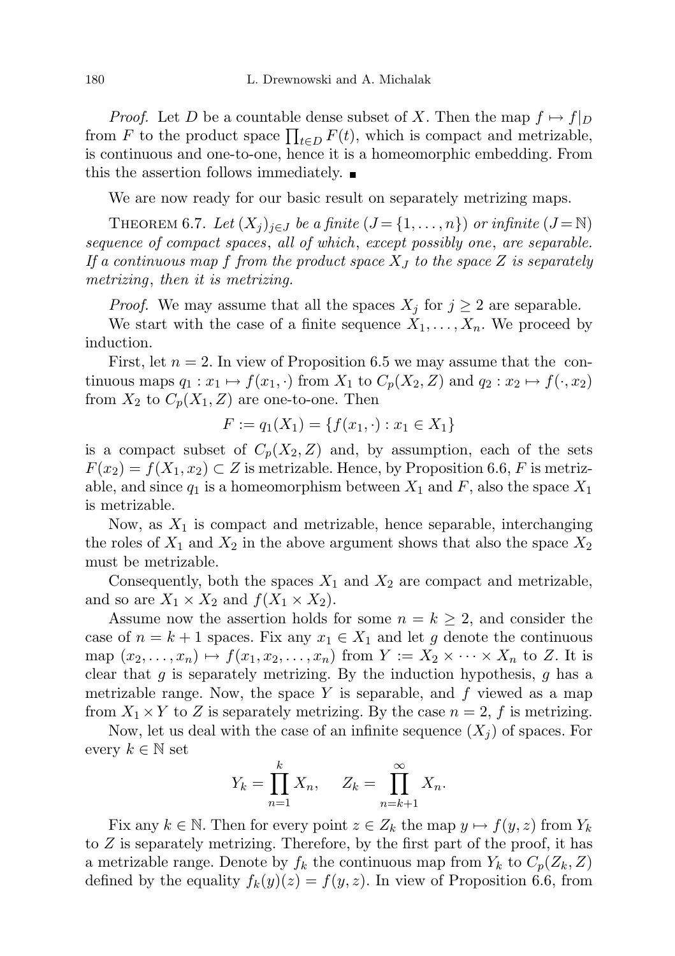*Proof.* Let D be a countable dense subset of X. Then the map  $f \mapsto f|_D$ from F to the product space  $\prod_{t\in D} F(t)$ , which is compact and metrizable, is continuous and one-to-one, hence it is a homeomorphic embedding. From this the assertion follows immediately.

We are now ready for our basic result on separately metrizing maps.

THEOREM 6.7. Let  $(X_j)_{j\in J}$  be a finite  $(J = \{1, \ldots, n\})$  or infinite  $(J = \mathbb{N})$ sequence of compact spaces, all of which, except possibly one, are separable. If a continuous map f from the product space  $X_J$  to the space Z is separately metrizing, then it is metrizing.

*Proof.* We may assume that all the spaces  $X_j$  for  $j \geq 2$  are separable.

We start with the case of a finite sequence  $X_1, \ldots, X_n$ . We proceed by induction.

First, let  $n = 2$ . In view of Proposition 6.5 we may assume that the continuous maps  $q_1 : x_1 \mapsto f(x_1, \cdot)$  from  $X_1$  to  $C_p(X_2, Z)$  and  $q_2 : x_2 \mapsto f(\cdot, x_2)$ from  $X_2$  to  $C_p(X_1, Z)$  are one-to-one. Then

$$
F := q_1(X_1) = \{ f(x_1, \cdot) : x_1 \in X_1 \}
$$

is a compact subset of  $C_p(X_2, Z)$  and, by assumption, each of the sets  $F(x_2) = f(X_1, x_2) \subset Z$  is metrizable. Hence, by Proposition 6.6, F is metrizable, and since  $q_1$  is a homeomorphism between  $X_1$  and  $F$ , also the space  $X_1$ is metrizable.

Now, as  $X_1$  is compact and metrizable, hence separable, interchanging the roles of  $X_1$  and  $X_2$  in the above argument shows that also the space  $X_2$ must be metrizable.

Consequently, both the spaces  $X_1$  and  $X_2$  are compact and metrizable, and so are  $X_1 \times X_2$  and  $f(X_1 \times X_2)$ .

Assume now the assertion holds for some  $n = k \geq 2$ , and consider the case of  $n = k + 1$  spaces. Fix any  $x_1 \in X_1$  and let g denote the continuous map  $(x_2, \ldots, x_n) \mapsto f(x_1, x_2, \ldots, x_n)$  from  $Y := X_2 \times \cdots \times X_n$  to Z. It is clear that  $g$  is separately metrizing. By the induction hypothesis,  $g$  has a metrizable range. Now, the space  $Y$  is separable, and  $f$  viewed as a map from  $X_1 \times Y$  to Z is separately metrizing. By the case  $n = 2$ , f is metrizing.

Now, let us deal with the case of an infinite sequence  $(X_i)$  of spaces. For every  $k \in \mathbb{N}$  set

$$
Y_k = \prod_{n=1}^k X_n, \quad Z_k = \prod_{n=k+1}^\infty X_n.
$$

Fix any  $k \in \mathbb{N}$ . Then for every point  $z \in Z_k$  the map  $y \mapsto f(y, z)$  from  $Y_k$ to Z is separately metrizing. Therefore, by the first part of the proof, it has a metrizable range. Denote by  $f_k$  the continuous map from  $Y_k$  to  $C_p(Z_k, Z)$ defined by the equality  $f_k(y)(z) = f(y, z)$ . In view of Proposition 6.6, from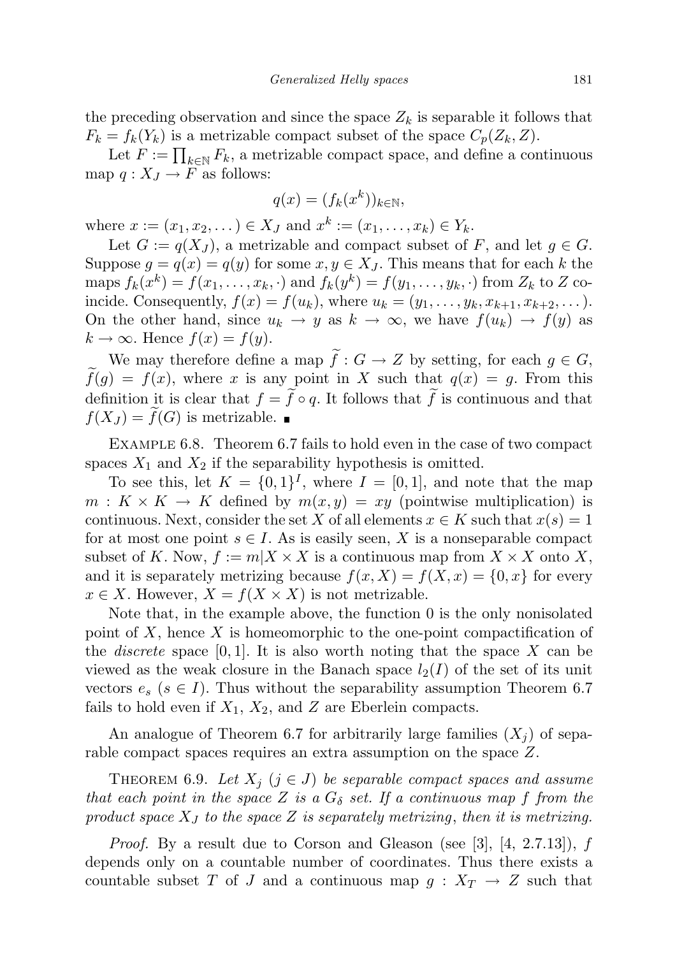the preceding observation and since the space  $Z_k$  is separable it follows that  $F_k = f_k(Y_k)$  is a metrizable compact subset of the space  $C_p(Z_k, Z)$ .

Let  $F := \prod_{k \in \mathbb{N}} F_k$ , a metrizable compact space, and define a continuous map  $q: X_J \to F$  as follows:

$$
q(x) = (f_k(x^k))_{k \in \mathbb{N}},
$$

where  $x := (x_1, x_2, ...) \in X_J$  and  $x^k := (x_1, ..., x_k) \in Y_k$ .

Let  $G := q(X_I)$ , a metrizable and compact subset of F, and let  $g \in G$ . Suppose  $g = q(x) = q(y)$  for some  $x, y \in X_J$ . This means that for each k the maps  $f_k(x^k) = f(x_1, \ldots, x_k, \cdot)$  and  $f_k(y^k) = f(y_1, \ldots, y_k, \cdot)$  from  $Z_k$  to  $Z$  coincide. Consequently,  $f(x) = f(u_k)$ , where  $u_k = (y_1, ..., y_k, x_{k+1}, x_{k+2}, ...)$ . On the other hand, since  $u_k \to y$  as  $k \to \infty$ , we have  $f(u_k) \to f(y)$  as  $k \to \infty$ . Hence  $f(x) = f(y)$ .

We may therefore define a map  $\widetilde{f}: G \to Z$  by setting, for each  $g \in G$ ,  $f(g) = f(x)$ , where x is any point in X such that  $q(x) = g$ . From this definition it is clear that  $f = \tilde{f} \circ q$ . It follows that  $\tilde{f}$  is continuous and that  $f(X_J) = \tilde{f}(G)$  is metrizable.

Example 6.8. Theorem 6.7 fails to hold even in the case of two compact spaces  $X_1$  and  $X_2$  if the separability hypothesis is omitted.

To see this, let  $K = \{0,1\}^I$ , where  $I = [0,1]$ , and note that the map  $m: K \times K \to K$  defined by  $m(x, y) = xy$  (pointwise multiplication) is continuous. Next, consider the set X of all elements  $x \in K$  such that  $x(s) = 1$ for at most one point  $s \in I$ . As is easily seen, X is a nonseparable compact subset of K. Now,  $f := m|X \times X$  is a continuous map from  $X \times X$  onto X, and it is separately metrizing because  $f(x, X) = f(X, x) = \{0, x\}$  for every  $x \in X$ . However,  $X = f(X \times X)$  is not metrizable.

Note that, in the example above, the function 0 is the only nonisolated point of  $X$ , hence  $X$  is homeomorphic to the one-point compactification of the *discrete* space  $[0, 1]$ . It is also worth noting that the space X can be viewed as the weak closure in the Banach space  $l_2(I)$  of the set of its unit vectors  $e_s$  ( $s \in I$ ). Thus without the separability assumption Theorem 6.7 fails to hold even if  $X_1, X_2$ , and Z are Eberlein compacts.

An analogue of Theorem 6.7 for arbitrarily large families  $(X_i)$  of separable compact spaces requires an extra assumption on the space Z.

THEOREM 6.9. Let  $X_j$   $(j \in J)$  be separable compact spaces and assume that each point in the space Z is a  $G_{\delta}$  set. If a continuous map f from the product space  $X_J$  to the space Z is separately metrizing, then it is metrizing.

*Proof.* By a result due to Corson and Gleason (see [3],  $[4, 2.7.13]$ ), f depends only on a countable number of coordinates. Thus there exists a countable subset T of J and a continuous map  $g: X_T \to Z$  such that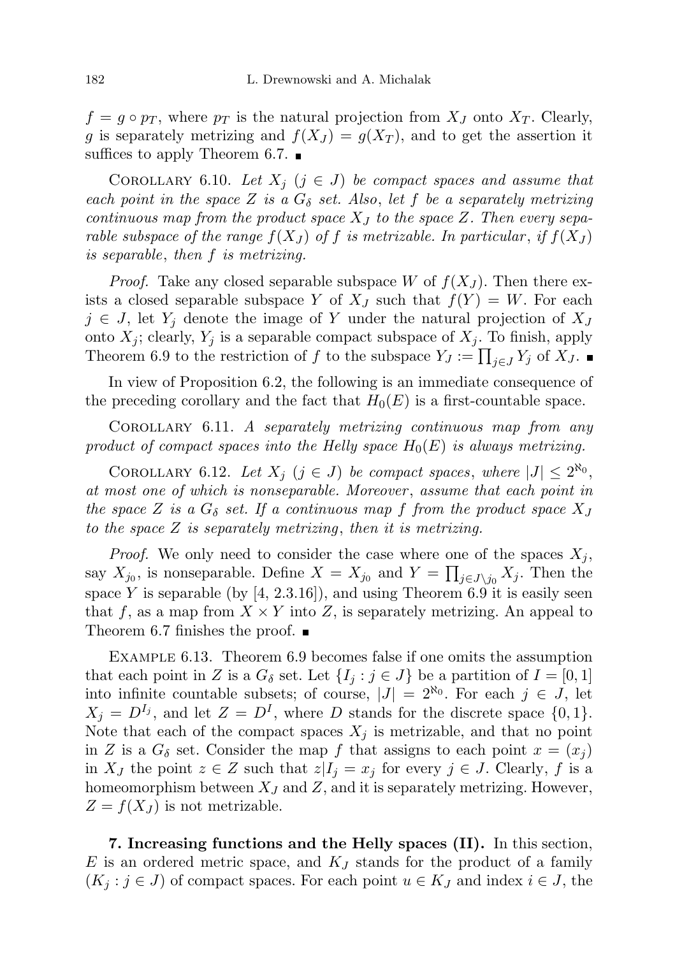$f = g \circ p_T$ , where  $p_T$  is the natural projection from  $X_J$  onto  $X_T$ . Clearly, g is separately metrizing and  $f(X_J) = g(X_T)$ , and to get the assertion it suffices to apply Theorem 6.7.  $\blacksquare$ 

COROLLARY 6.10. Let  $X_j$   $(j \in J)$  be compact spaces and assume that each point in the space Z is a  $G_{\delta}$  set. Also, let f be a separately metrizing continuous map from the product space  $X_J$  to the space Z. Then every separable subspace of the range  $f(X_J)$  of f is metrizable. In particular, if  $f(X_J)$ is separable, then f is metrizing.

*Proof.* Take any closed separable subspace W of  $f(X_J)$ . Then there exists a closed separable subspace Y of  $X_J$  such that  $f(Y) = W$ . For each  $j \in J$ , let  $Y_j$  denote the image of Y under the natural projection of  $X_J$ onto  $X_j$ ; clearly,  $Y_j$  is a separable compact subspace of  $X_j$ . To finish, apply Theorem 6.9 to the restriction of f to the subspace  $Y_J := \prod_{j \in J} Y_j$  of  $X_J$ .

In view of Proposition 6.2, the following is an immediate consequence of the preceding corollary and the fact that  $H_0(E)$  is a first-countable space.

Corollary 6.11. A separately metrizing continuous map from any product of compact spaces into the Helly space  $H_0(E)$  is always metrizing.

COROLLARY 6.12. Let  $X_j$   $(j \in J)$  be compact spaces, where  $|J| \leq 2^{\aleph_0}$ , at most one of which is nonseparable. Moreover , assume that each point in the space Z is a  $G_{\delta}$  set. If a continuous map f from the product space  $X_J$ to the space Z is separately metrizing, then it is metrizing.

*Proof.* We only need to consider the case where one of the spaces  $X_i$ , say  $X_{j_0}$ , is nonseparable. Define  $X = X_{j_0}$  and  $Y = \prod_{j \in J \setminus j_0} X_j$ . Then the space Y is separable (by  $[4, 2.3.16]$ ), and using Theorem 6.9 it is easily seen that f, as a map from  $X \times Y$  into Z, is separately metrizing. An appeal to Theorem 6.7 finishes the proof.  $\blacksquare$ 

Example 6.13. Theorem 6.9 becomes false if one omits the assumption that each point in Z is a  $G_{\delta}$  set. Let  $\{I_i : j \in J\}$  be a partition of  $I = [0, 1]$ into infinite countable subsets; of course,  $|J| = 2^{\aleph_0}$ . For each  $j \in J$ , let  $X_j = D^{I_j}$ , and let  $Z = D^I$ , where D stands for the discrete space  $\{0, 1\}$ . Note that each of the compact spaces  $X_i$  is metrizable, and that no point in Z is a  $G_{\delta}$  set. Consider the map f that assigns to each point  $x = (x_i)$ in  $X_J$  the point  $z \in Z$  such that  $z|I_j = x_j$  for every  $j \in J$ . Clearly, f is a homeomorphism between  $X_J$  and  $Z$ , and it is separately metrizing. However,  $Z = f(X_J)$  is not metrizable.

7. Increasing functions and the Helly spaces (II). In this section,  $E$  is an ordered metric space, and  $K_J$  stands for the product of a family  $(K_i : j \in J)$  of compact spaces. For each point  $u \in K_J$  and index  $i \in J$ , the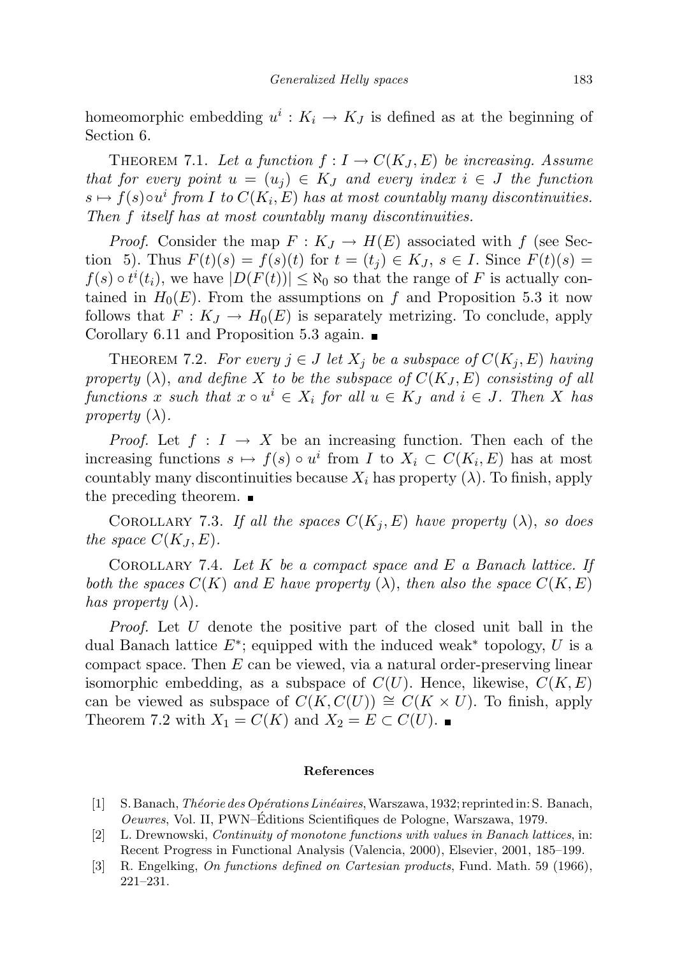homeomorphic embedding  $u^i: K_i \to K_j$  is defined as at the beginning of Section 6.

THEOREM 7.1. Let a function  $f: I \to C(K_J, E)$  be increasing. Assume that for every point  $u = (u_i) \in K_J$  and every index  $i \in J$  the function  $s \mapsto f(s) \circ u^i$  from I to  $C(K_i, E)$  has at most countably many discontinuities. Then f itself has at most countably many discontinuities.

*Proof.* Consider the map  $F: K_J \to H(E)$  associated with f (see Section 5). Thus  $F(t)(s) = f(s)(t)$  for  $t = (t_j) \in K_J$ ,  $s \in I$ . Since  $F(t)(s) =$  $f(s) \circ t^{i}(t_{i}),$  we have  $|D(F(t))| \leq \aleph_{0}$  so that the range of F is actually contained in  $H_0(E)$ . From the assumptions on f and Proposition 5.3 it now follows that  $F: K_J \to H_0(E)$  is separately metrizing. To conclude, apply Corollary 6.11 and Proposition 5.3 again.  $\blacksquare$ 

THEOREM 7.2. For every  $j \in J$  let  $X_j$  be a subspace of  $C(K_j, E)$  having property  $(\lambda)$ , and define X to be the subspace of  $C(K_J, E)$  consisting of all functions x such that  $x \circ u^i \in X_i$  for all  $u \in K_J$  and  $i \in J$ . Then X has property  $(\lambda)$ .

*Proof.* Let  $f: I \to X$  be an increasing function. Then each of the increasing functions  $s \mapsto f(s) \circ u^i$  from I to  $X_i \subset C(K_i, E)$  has at most countably many discontinuities because  $X_i$  has property  $(\lambda)$ . To finish, apply the preceding theorem.

COROLLARY 7.3. If all the spaces  $C(K_i, E)$  have property  $(\lambda)$ , so does the space  $C(K_J, E)$ .

COROLLARY 7.4. Let K be a compact space and E a Banach lattice. If both the spaces  $C(K)$  and E have property  $(\lambda)$ , then also the space  $C(K, E)$ has property  $(\lambda)$ .

Proof. Let U denote the positive part of the closed unit ball in the dual Banach lattice  $E^*$ ; equipped with the induced weak<sup>\*</sup> topology, U is a compact space. Then  $E$  can be viewed, via a natural order-preserving linear isomorphic embedding, as a subspace of  $C(U)$ . Hence, likewise,  $C(K, E)$ can be viewed as subspace of  $C(K, C(U)) \cong C(K \times U)$ . To finish, apply Theorem 7.2 with  $X_1 = C(K)$  and  $X_2 = E \subset C(U)$ .

## References

- [1] S. Banach, *Théorie des Opérations Linéaires*, Warszawa, 1932; reprinted in: S. Banach, Oeuvres, Vol. II, PWN–Editions Scientifiques de Pologne, Warszawa, 1979. ´
- [2] L. Drewnowski, Continuity of monotone functions with values in Banach lattices, in: Recent Progress in Functional Analysis (Valencia, 2000), Elsevier, 2001, 185–199.
- [3] R. Engelking, On functions defined on Cartesian products, Fund. Math. 59 (1966), 221–231.